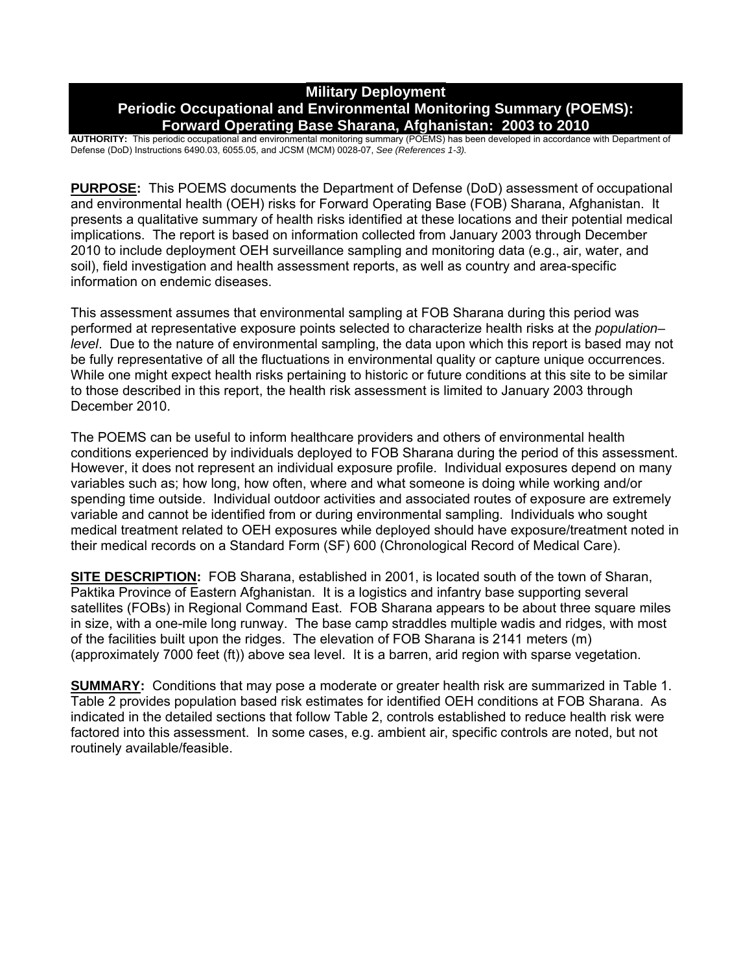# **Military Deployment Periodic Occupational and Environmental Monitoring Summary (POEMS): Forward Operating Base Sharana, Afghanistan: 2003 to 2010**

**AUTHORITY:** This periodic occupational and environmental monitoring summary (POEMS) has been developed in accordance with Department of Defense (DoD) Instructions 6490.03, 6055.05, and JCSM (MCM) 0028-07, *See (References 1-3).* 

**PURPOSE:** This POEMS documents the Department of Defense (DoD) assessment of occupational and environmental health (OEH) risks for Forward Operating Base (FOB) Sharana, Afghanistan. It presents a qualitative summary of health risks identified at these locations and their potential medical implications. The report is based on information collected from January 2003 through December 2010 to include deployment OEH surveillance sampling and monitoring data (e.g., air, water, and soil), field investigation and health assessment reports, as well as country and area-specific information on endemic diseases.

This assessment assumes that environmental sampling at FOB Sharana during this period was performed at representative exposure points selected to characterize health risks at the *population– level*. Due to the nature of environmental sampling, the data upon which this report is based may not be fully representative of all the fluctuations in environmental quality or capture unique occurrences. While one might expect health risks pertaining to historic or future conditions at this site to be similar to those described in this report, the health risk assessment is limited to January 2003 through December 2010.

The POEMS can be useful to inform healthcare providers and others of environmental health conditions experienced by individuals deployed to FOB Sharana during the period of this assessment. However, it does not represent an individual exposure profile. Individual exposures depend on many variables such as; how long, how often, where and what someone is doing while working and/or spending time outside. Individual outdoor activities and associated routes of exposure are extremely variable and cannot be identified from or during environmental sampling. Individuals who sought medical treatment related to OEH exposures while deployed should have exposure/treatment noted in their medical records on a Standard Form (SF) 600 (Chronological Record of Medical Care).

**SITE DESCRIPTION:** FOB Sharana, established in 2001, is located south of the town of Sharan. Paktika Province of Eastern Afghanistan. It is a logistics and infantry base supporting several satellites (FOBs) in Regional Command East. FOB Sharana appears to be about three square miles in size, with a one-mile long runway. The base camp straddles multiple wadis and ridges, with most of the facilities built upon the ridges. The elevation of FOB Sharana is 2141 meters (m) (approximately 7000 feet (ft)) above sea level. It is a barren, arid region with sparse vegetation.

**SUMMARY:** Conditions that may pose a moderate or greater health risk are summarized in Table 1. Table 2 provides population based risk estimates for identified OEH conditions at FOB Sharana. As indicated in the detailed sections that follow Table 2, controls established to reduce health risk were factored into this assessment. In some cases, e.g. ambient air, specific controls are noted, but not routinely available/feasible.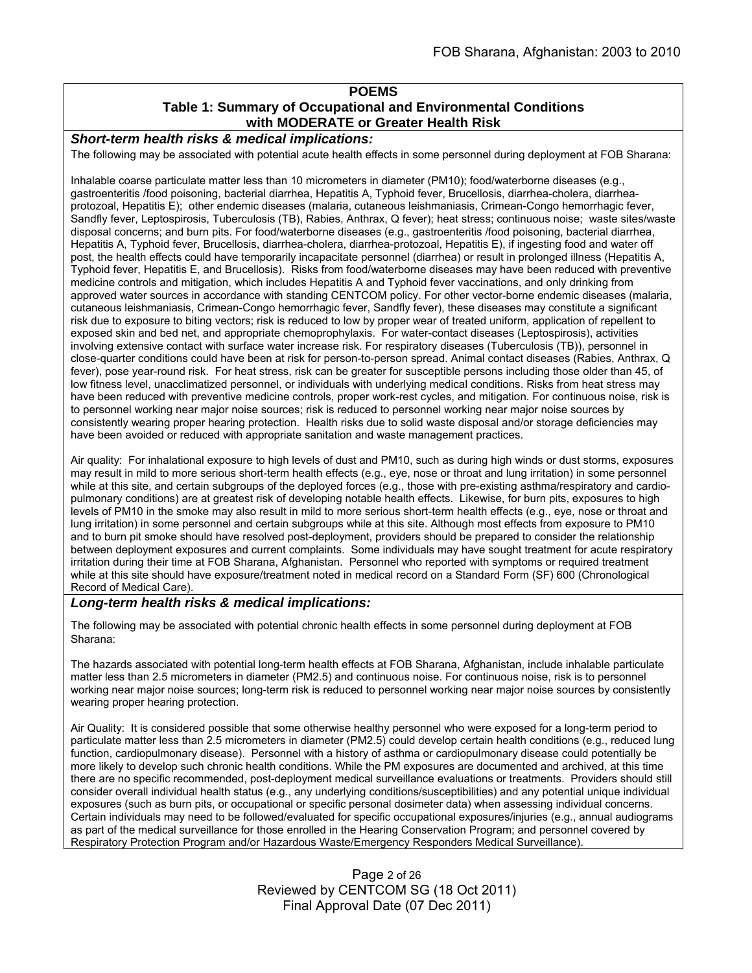### **POEMS Table 1: Summary of Occupational and Environmental Conditions with MODERATE or Greater Health Risk**

*Short-term health risks & medical implications:* 

The following may be associated with potential acute health effects in some personnel during deployment at FOB Sharana:

Inhalable coarse particulate matter less than 10 micrometers in diameter (PM10); food/waterborne diseases (e.g., gastroenteritis /food poisoning, bacterial diarrhea, Hepatitis A, Typhoid fever, Brucellosis, diarrhea-cholera, diarrheaprotozoal, Hepatitis E); other endemic diseases (malaria, cutaneous leishmaniasis, Crimean-Congo hemorrhagic fever, Sandfly fever, Leptospirosis, Tuberculosis (TB), Rabies, Anthrax, Q fever); heat stress; continuous noise; waste sites/waste disposal concerns; and burn pits. For food/waterborne diseases (e.g., gastroenteritis /food poisoning, bacterial diarrhea, Hepatitis A, Typhoid fever, Brucellosis, diarrhea-cholera, diarrhea-protozoal, Hepatitis E), if ingesting food and water off post, the health effects could have temporarily incapacitate personnel (diarrhea) or result in prolonged illness (Hepatitis A, Typhoid fever, Hepatitis E, and Brucellosis). Risks from food/waterborne diseases may have been reduced with preventive medicine controls and mitigation, which includes Hepatitis A and Typhoid fever vaccinations, and only drinking from approved water sources in accordance with standing CENTCOM policy. For other vector-borne endemic diseases (malaria, cutaneous leishmaniasis, Crimean-Congo hemorrhagic fever, Sandfly fever), these diseases may constitute a significant risk due to exposure to biting vectors; risk is reduced to low by proper wear of treated uniform, application of repellent to exposed skin and bed net, and appropriate chemoprophylaxis. For water-contact diseases (Leptospirosis), activities involving extensive contact with surface water increase risk. For respiratory diseases (Tuberculosis (TB)), personnel in close-quarter conditions could have been at risk for person-to-person spread. Animal contact diseases (Rabies, Anthrax, Q fever), pose year-round risk. For heat stress, risk can be greater for susceptible persons including those older than 45, of low fitness level, unacclimatized personnel, or individuals with underlying medical conditions. Risks from heat stress may have been reduced with preventive medicine controls, proper work-rest cycles, and mitigation. For continuous noise, risk is to personnel working near major noise sources; risk is reduced to personnel working near major noise sources by consistently wearing proper hearing protection. Health risks due to solid waste disposal and/or storage deficiencies may have been avoided or reduced with appropriate sanitation and waste management practices.

Air quality: For inhalational exposure to high levels of dust and PM10, such as during high winds or dust storms, exposures may result in mild to more serious short-term health effects (e.g., eye, nose or throat and lung irritation) in some personnel while at this site, and certain subgroups of the deployed forces (e.g., those with pre-existing asthma/respiratory and cardiopulmonary conditions) are at greatest risk of developing notable health effects. Likewise, for burn pits, exposures to high levels of PM10 in the smoke may also result in mild to more serious short-term health effects (e.g., eye, nose or throat and lung irritation) in some personnel and certain subgroups while at this site. Although most effects from exposure to PM10 and to burn pit smoke should have resolved post-deployment, providers should be prepared to consider the relationship between deployment exposures and current complaints. Some individuals may have sought treatment for acute respiratory irritation during their time at FOB Sharana, Afghanistan. Personnel who reported with symptoms or required treatment while at this site should have exposure/treatment noted in medical record on a Standard Form (SF) 600 (Chronological Record of Medical Care).

#### *Long-term health risks & medical implications:*

The following may be associated with potential chronic health effects in some personnel during deployment at FOB Sharana:

The hazards associated with potential long-term health effects at FOB Sharana, Afghanistan, include inhalable particulate matter less than 2.5 micrometers in diameter (PM2.5) and continuous noise. For continuous noise, risk is to personnel working near major noise sources; long-term risk is reduced to personnel working near major noise sources by consistently wearing proper hearing protection.

Air Quality: It is considered possible that some otherwise healthy personnel who were exposed for a long-term period to particulate matter less than 2.5 micrometers in diameter (PM2.5) could develop certain health conditions (e.g., reduced lung function, cardiopulmonary disease). Personnel with a history of asthma or cardiopulmonary disease could potentially be more likely to develop such chronic health conditions. While the PM exposures are documented and archived, at this time there are no specific recommended, post-deployment medical surveillance evaluations or treatments. Providers should still consider overall individual health status (e.g., any underlying conditions/susceptibilities) and any potential unique individual exposures (such as burn pits, or occupational or specific personal dosimeter data) when assessing individual concerns. Certain individuals may need to be followed/evaluated for specific occupational exposures/injuries (e.g., annual audiograms as part of the medical surveillance for those enrolled in the Hearing Conservation Program; and personnel covered by Respiratory Protection Program and/or Hazardous Waste/Emergency Responders Medical Surveillance).

> Page 2 of 26 Reviewed by CENTCOM SG (18 Oct 2011) Final Approval Date (07 Dec 2011)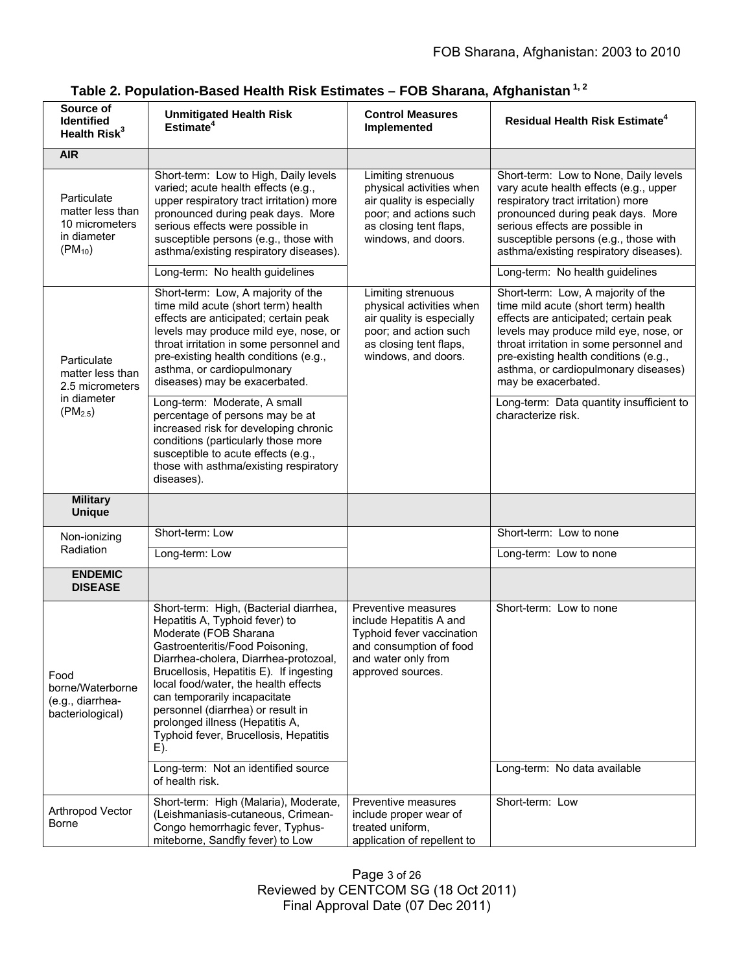| Source of<br><b>Identified</b><br>Health Risk <sup>3</sup>                                | <b>Unmitigated Health Risk</b><br>Estimate <sup>4</sup>                                                                                                                                                                                                                                                                                                                                                                                                         | <b>Control Measures</b><br>Implemented                                                                                                                 | <b>Residual Health Risk Estimate<sup>4</sup></b>                                                                                                                                                                                                                                                                                                                                 |
|-------------------------------------------------------------------------------------------|-----------------------------------------------------------------------------------------------------------------------------------------------------------------------------------------------------------------------------------------------------------------------------------------------------------------------------------------------------------------------------------------------------------------------------------------------------------------|--------------------------------------------------------------------------------------------------------------------------------------------------------|----------------------------------------------------------------------------------------------------------------------------------------------------------------------------------------------------------------------------------------------------------------------------------------------------------------------------------------------------------------------------------|
| <b>AIR</b>                                                                                |                                                                                                                                                                                                                                                                                                                                                                                                                                                                 |                                                                                                                                                        |                                                                                                                                                                                                                                                                                                                                                                                  |
| Particulate<br>matter less than<br>10 micrometers<br>in diameter<br>$(PM_{10})$           | Short-term: Low to High, Daily levels<br>varied; acute health effects (e.g.,<br>upper respiratory tract irritation) more<br>pronounced during peak days. More<br>serious effects were possible in<br>susceptible persons (e.g., those with<br>asthma/existing respiratory diseases).                                                                                                                                                                            | Limiting strenuous<br>physical activities when<br>air quality is especially<br>poor; and actions such<br>as closing tent flaps,<br>windows, and doors. | Short-term: Low to None, Daily levels<br>vary acute health effects (e.g., upper<br>respiratory tract irritation) more<br>pronounced during peak days. More<br>serious effects are possible in<br>susceptible persons (e.g., those with<br>asthma/existing respiratory diseases).                                                                                                 |
|                                                                                           | Long-term: No health guidelines                                                                                                                                                                                                                                                                                                                                                                                                                                 |                                                                                                                                                        | Long-term: No health guidelines                                                                                                                                                                                                                                                                                                                                                  |
| Particulate<br>matter less than<br>2.5 micrometers<br>in diameter<br>(PM <sub>2.5</sub> ) | Short-term: Low, A majority of the<br>time mild acute (short term) health<br>effects are anticipated; certain peak<br>levels may produce mild eye, nose, or<br>throat irritation in some personnel and<br>pre-existing health conditions (e.g.,<br>asthma, or cardiopulmonary<br>diseases) may be exacerbated.<br>Long-term: Moderate, A small<br>percentage of persons may be at<br>increased risk for developing chronic                                      | Limiting strenuous<br>physical activities when<br>air quality is especially<br>poor; and action such<br>as closing tent flaps,<br>windows, and doors.  | Short-term: Low, A majority of the<br>time mild acute (short term) health<br>effects are anticipated; certain peak<br>levels may produce mild eye, nose, or<br>throat irritation in some personnel and<br>pre-existing health conditions (e.g.,<br>asthma, or cardiopulmonary diseases)<br>may be exacerbated.<br>Long-term: Data quantity insufficient to<br>characterize risk. |
|                                                                                           | conditions (particularly those more<br>susceptible to acute effects (e.g.,<br>those with asthma/existing respiratory<br>diseases).                                                                                                                                                                                                                                                                                                                              |                                                                                                                                                        |                                                                                                                                                                                                                                                                                                                                                                                  |
| <b>Military</b><br><b>Unique</b>                                                          |                                                                                                                                                                                                                                                                                                                                                                                                                                                                 |                                                                                                                                                        |                                                                                                                                                                                                                                                                                                                                                                                  |
| Non-ionizing                                                                              | Short-term: Low                                                                                                                                                                                                                                                                                                                                                                                                                                                 |                                                                                                                                                        | Short-term: Low to none                                                                                                                                                                                                                                                                                                                                                          |
| Radiation                                                                                 | Long-term: Low                                                                                                                                                                                                                                                                                                                                                                                                                                                  |                                                                                                                                                        | Long-term: Low to none                                                                                                                                                                                                                                                                                                                                                           |
| <b>ENDEMIC</b><br><b>DISEASE</b>                                                          |                                                                                                                                                                                                                                                                                                                                                                                                                                                                 |                                                                                                                                                        |                                                                                                                                                                                                                                                                                                                                                                                  |
| Food<br>borne/Waterborne<br>(e.g., diarrhea-<br>bacteriological)                          | Short-term: High, (Bacterial diarrhea,<br>Hepatitis A, Typhoid fever) to<br>Moderate (FOB Sharana<br>Gastroenteritis/Food Poisoning,<br>Diarrhea-cholera, Diarrhea-protozoal,<br>Brucellosis, Hepatitis E). If ingesting<br>local food/water, the health effects<br>can temporarily incapacitate<br>personnel (diarrhea) or result in<br>prolonged illness (Hepatitis A,<br>Typhoid fever, Brucellosis, Hepatitis<br>E).<br>Long-term: Not an identified source | Preventive measures<br>include Hepatitis A and<br>Typhoid fever vaccination<br>and consumption of food<br>and water only from<br>approved sources.     | Short-term: Low to none<br>Long-term: No data available                                                                                                                                                                                                                                                                                                                          |
|                                                                                           | of health risk.                                                                                                                                                                                                                                                                                                                                                                                                                                                 |                                                                                                                                                        |                                                                                                                                                                                                                                                                                                                                                                                  |
| Arthropod Vector<br><b>Borne</b>                                                          | Short-term: High (Malaria), Moderate,<br>(Leishmaniasis-cutaneous, Crimean-<br>Congo hemorrhagic fever, Typhus-<br>miteborne, Sandfly fever) to Low                                                                                                                                                                                                                                                                                                             | Preventive measures<br>include proper wear of<br>treated uniform,<br>application of repellent to                                                       | Short-term: Low                                                                                                                                                                                                                                                                                                                                                                  |

| Table 2. Population-Based Health Risk Estimates – FOB Sharana, Afghanistan $^{\text{1, 2}}$ |  |  |  |
|---------------------------------------------------------------------------------------------|--|--|--|
|---------------------------------------------------------------------------------------------|--|--|--|

Page 3 of 26 Reviewed by CENTCOM SG (18 Oct 2011) Final Approval Date (07 Dec 2011)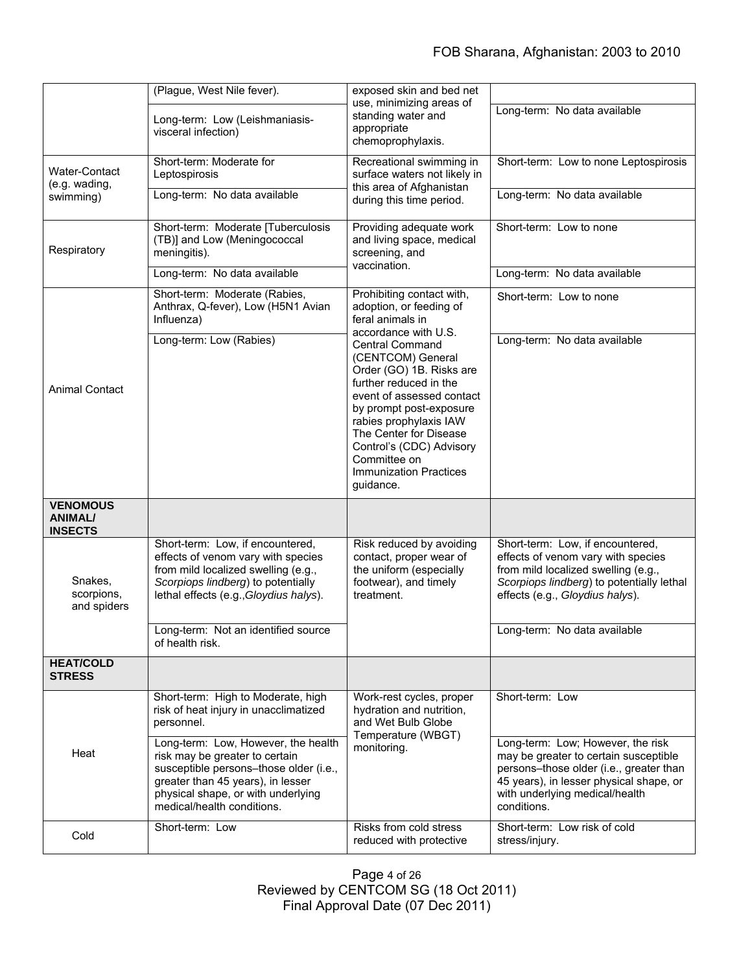|                                                     | (Plague, West Nile fever).                                                                                                                                                                                               | exposed skin and bed net                                                                                                                                                                                                                                                                                                        |                                                                                                                                                                                                                   |
|-----------------------------------------------------|--------------------------------------------------------------------------------------------------------------------------------------------------------------------------------------------------------------------------|---------------------------------------------------------------------------------------------------------------------------------------------------------------------------------------------------------------------------------------------------------------------------------------------------------------------------------|-------------------------------------------------------------------------------------------------------------------------------------------------------------------------------------------------------------------|
|                                                     | Long-term: Low (Leishmaniasis-<br>visceral infection)                                                                                                                                                                    | use, minimizing areas of<br>standing water and<br>appropriate<br>chemoprophylaxis.                                                                                                                                                                                                                                              | Long-term: No data available                                                                                                                                                                                      |
| Water-Contact                                       | Short-term: Moderate for<br>Leptospirosis                                                                                                                                                                                | Recreational swimming in<br>surface waters not likely in                                                                                                                                                                                                                                                                        | Short-term: Low to none Leptospirosis                                                                                                                                                                             |
| (e.g. wading,<br>swimming)                          | Long-term: No data available                                                                                                                                                                                             | this area of Afghanistan<br>during this time period.                                                                                                                                                                                                                                                                            | Long-term: No data available                                                                                                                                                                                      |
| Respiratory                                         | Short-term: Moderate [Tuberculosis<br>(TB)] and Low (Meningococcal<br>meningitis).                                                                                                                                       | Providing adequate work<br>and living space, medical<br>screening, and<br>vaccination.                                                                                                                                                                                                                                          | Short-term: Low to none                                                                                                                                                                                           |
|                                                     | Long-term: No data available                                                                                                                                                                                             |                                                                                                                                                                                                                                                                                                                                 | Long-term: No data available                                                                                                                                                                                      |
|                                                     | Short-term: Moderate (Rabies,<br>Anthrax, Q-fever), Low (H5N1 Avian<br>Influenza)                                                                                                                                        | Prohibiting contact with,<br>adoption, or feeding of<br>feral animals in                                                                                                                                                                                                                                                        | Short-term: Low to none                                                                                                                                                                                           |
| <b>Animal Contact</b>                               | Long-term: Low (Rabies)                                                                                                                                                                                                  | accordance with U.S.<br><b>Central Command</b><br>(CENTCOM) General<br>Order (GO) 1B. Risks are<br>further reduced in the<br>event of assessed contact<br>by prompt post-exposure<br>rabies prophylaxis IAW<br>The Center for Disease<br>Control's (CDC) Advisory<br>Committee on<br><b>Immunization Practices</b><br>guidance. | Long-term: No data available                                                                                                                                                                                      |
| <b>VENOMOUS</b><br><b>ANIMAL/</b><br><b>INSECTS</b> |                                                                                                                                                                                                                          |                                                                                                                                                                                                                                                                                                                                 |                                                                                                                                                                                                                   |
| Snakes,<br>scorpions,<br>and spiders                | Short-term: Low, if encountered,<br>effects of venom vary with species<br>from mild localized swelling (e.g.,<br>Scorpiops lindberg) to potentially<br>lethal effects (e.g., Gloydius halys).                            | Risk reduced by avoiding<br>contact, proper wear of<br>the uniform (especially<br>footwear), and timely<br>treatment.                                                                                                                                                                                                           | Short-term: Low, if encountered,<br>effects of venom vary with species<br>from mild localized swelling (e.g.,<br>Scorpiops lindberg) to potentially lethal<br>effects (e.g., Gloydius halys).                     |
|                                                     | Long-term: Not an identified source<br>of health risk.                                                                                                                                                                   |                                                                                                                                                                                                                                                                                                                                 | Long-term: No data available                                                                                                                                                                                      |
| <b>HEAT/COLD</b><br><b>STRESS</b>                   |                                                                                                                                                                                                                          |                                                                                                                                                                                                                                                                                                                                 |                                                                                                                                                                                                                   |
|                                                     | Short-term: High to Moderate, high<br>risk of heat injury in unacclimatized<br>personnel.                                                                                                                                | Work-rest cycles, proper<br>hydration and nutrition,<br>and Wet Bulb Globe<br>Temperature (WBGT)                                                                                                                                                                                                                                | Short-term: Low                                                                                                                                                                                                   |
| Heat                                                | Long-term: Low, However, the health<br>risk may be greater to certain<br>susceptible persons-those older (i.e.,<br>greater than 45 years), in lesser<br>physical shape, or with underlying<br>medical/health conditions. | monitoring.<br>Risks from cold stress                                                                                                                                                                                                                                                                                           | Long-term: Low; However, the risk<br>may be greater to certain susceptible<br>persons-those older (i.e., greater than<br>45 years), in lesser physical shape, or<br>with underlying medical/health<br>conditions. |
|                                                     |                                                                                                                                                                                                                          |                                                                                                                                                                                                                                                                                                                                 |                                                                                                                                                                                                                   |

Page 4 of 26 Reviewed by CENTCOM SG (18 Oct 2011) Final Approval Date (07 Dec 2011)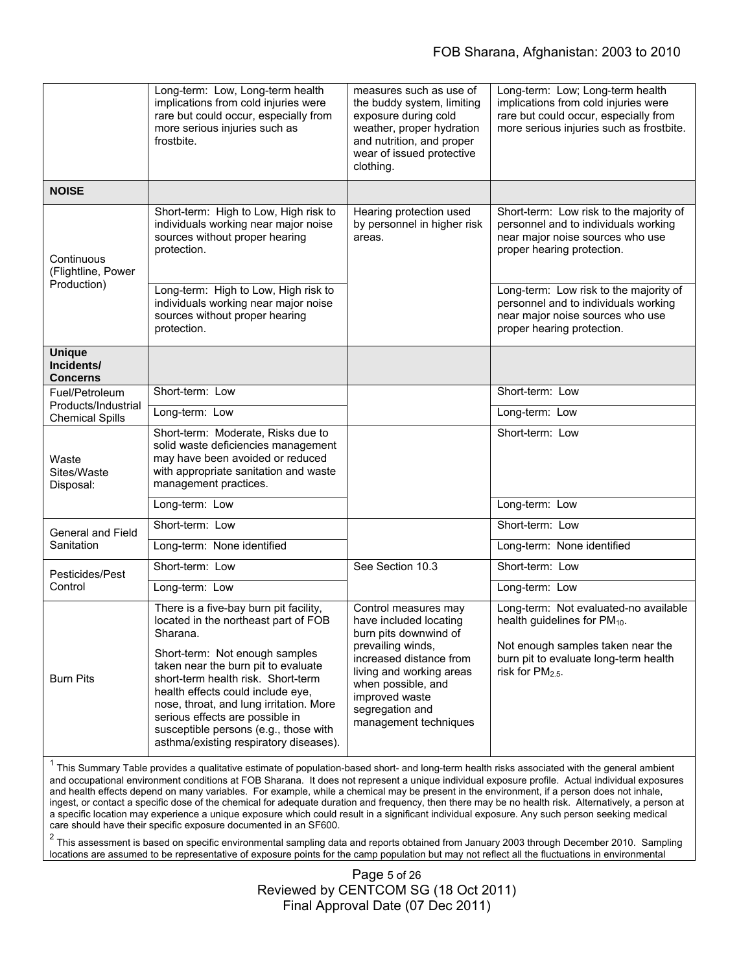|                                                 | Long-term: Low, Long-term health<br>implications from cold injuries were<br>rare but could occur, especially from<br>more serious injuries such as<br>frostbite.                                                                                                                                                                                                                                                | measures such as use of<br>the buddy system, limiting<br>exposure during cold<br>weather, proper hydration<br>and nutrition, and proper<br>wear of issued protective<br>clothing.                                                       | Long-term: Low; Long-term health<br>implications from cold injuries were<br>rare but could occur, especially from<br>more serious injuries such as frostbite.                         |
|-------------------------------------------------|-----------------------------------------------------------------------------------------------------------------------------------------------------------------------------------------------------------------------------------------------------------------------------------------------------------------------------------------------------------------------------------------------------------------|-----------------------------------------------------------------------------------------------------------------------------------------------------------------------------------------------------------------------------------------|---------------------------------------------------------------------------------------------------------------------------------------------------------------------------------------|
| <b>NOISE</b>                                    |                                                                                                                                                                                                                                                                                                                                                                                                                 |                                                                                                                                                                                                                                         |                                                                                                                                                                                       |
| Continuous<br>(Flightline, Power<br>Production) | Short-term: High to Low, High risk to<br>individuals working near major noise<br>sources without proper hearing<br>protection.                                                                                                                                                                                                                                                                                  | Hearing protection used<br>by personnel in higher risk<br>areas.                                                                                                                                                                        | Short-term: Low risk to the majority of<br>personnel and to individuals working<br>near major noise sources who use<br>proper hearing protection.                                     |
|                                                 | Long-term: High to Low, High risk to<br>individuals working near major noise<br>sources without proper hearing<br>protection.                                                                                                                                                                                                                                                                                   |                                                                                                                                                                                                                                         | Long-term: Low risk to the majority of<br>personnel and to individuals working<br>near major noise sources who use<br>proper hearing protection.                                      |
| <b>Unique</b><br>Incidents/<br><b>Concerns</b>  |                                                                                                                                                                                                                                                                                                                                                                                                                 |                                                                                                                                                                                                                                         |                                                                                                                                                                                       |
| Fuel/Petroleum                                  | Short-term: Low                                                                                                                                                                                                                                                                                                                                                                                                 |                                                                                                                                                                                                                                         | Short-term: Low                                                                                                                                                                       |
| Products/Industrial<br><b>Chemical Spills</b>   | Long-term: Low                                                                                                                                                                                                                                                                                                                                                                                                  |                                                                                                                                                                                                                                         | Long-term: Low                                                                                                                                                                        |
| Waste<br>Sites/Waste<br>Disposal:               | Short-term: Moderate, Risks due to<br>solid waste deficiencies management<br>may have been avoided or reduced<br>with appropriate sanitation and waste<br>management practices.                                                                                                                                                                                                                                 |                                                                                                                                                                                                                                         | Short-term: Low                                                                                                                                                                       |
|                                                 | Long-term: Low                                                                                                                                                                                                                                                                                                                                                                                                  |                                                                                                                                                                                                                                         | Long-term: Low                                                                                                                                                                        |
| General and Field<br>Sanitation                 | Short-term: Low                                                                                                                                                                                                                                                                                                                                                                                                 |                                                                                                                                                                                                                                         | Short-term: Low                                                                                                                                                                       |
|                                                 | Long-term: None identified                                                                                                                                                                                                                                                                                                                                                                                      |                                                                                                                                                                                                                                         | Long-term: None identified                                                                                                                                                            |
| Pesticides/Pest<br>Control                      | Short-term: Low                                                                                                                                                                                                                                                                                                                                                                                                 | See Section 10.3                                                                                                                                                                                                                        | Short-term: Low                                                                                                                                                                       |
|                                                 | Long-term: Low                                                                                                                                                                                                                                                                                                                                                                                                  |                                                                                                                                                                                                                                         | Long-term: Low                                                                                                                                                                        |
| <b>Burn Pits</b>                                | There is a five-bay burn pit facility,<br>located in the northeast part of FOB<br>Sharana.<br>Short-term: Not enough samples<br>taken near the burn pit to evaluate<br>short-term health risk. Short-term<br>health effects could include eye,<br>nose, throat, and lung irritation. More<br>serious effects are possible in<br>susceptible persons (e.g., those with<br>asthma/existing respiratory diseases). | Control measures may<br>have included locating<br>burn pits downwind of<br>prevailing winds,<br>increased distance from<br>living and working areas<br>when possible, and<br>improved waste<br>segregation and<br>management techniques | Long-term: Not evaluated-no available<br>health guidelines for PM <sub>10</sub> .<br>Not enough samples taken near the<br>burn pit to evaluate long-term health<br>risk for $PM2.5$ . |

 $1$  This Summary Table provides a qualitative estimate of population-based short- and long-term health risks associated with the general ambient and occupational environment conditions at FOB Sharana. It does not represent a unique individual exposure profile. Actual individual exposures and health effects depend on many variables. For example, while a chemical may be present in the environment, if a person does not inhale, ingest, or contact a specific dose of the chemical for adequate duration and frequency, then there may be no health risk. Alternatively, a person at a specific location may experience a unique exposure which could result in a significant individual exposure. Any such person seeking medical care should have their specific exposure documented in an SF600.

 $^2$  This assessment is based on specific environmental sampling data and reports obtained from January 2003 through December 2010. Sampling locations are assumed to be representative of exposure points for the camp population but may not reflect all the fluctuations in environmental

> Page 5 of 26 Reviewed by CENTCOM SG (18 Oct 2011) Final Approval Date (07 Dec 2011)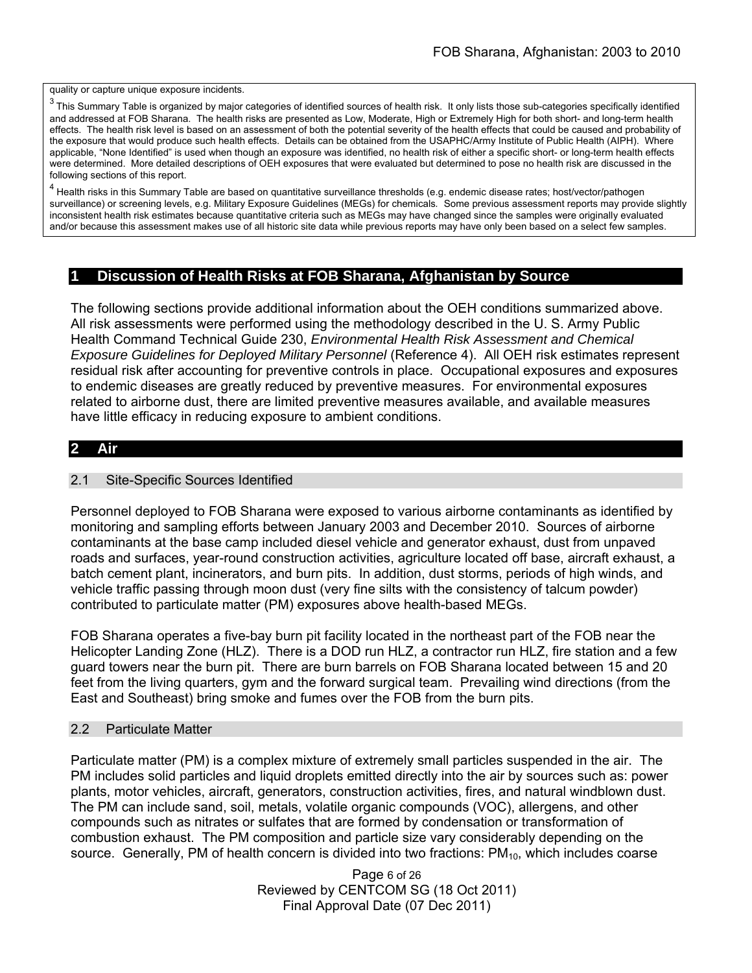quality or capture unique exposure incidents.

 $3$  This Summary Table is organized by major categories of identified sources of health risk. It only lists those sub-categories specifically identified and addressed at FOB Sharana. The health risks are presented as Low, Moderate, High or Extremely High for both short- and long-term health effects. The health risk level is based on an assessment of both the potential severity of the health effects that could be caused and probability of the exposure that would produce such health effects. Details can be obtained from the USAPHC/Army Institute of Public Health (AIPH). Where applicable, "None Identified" is used when though an exposure was identified, no health risk of either a specific short- or long-term health effects were determined. More detailed descriptions of OEH exposures that were evaluated but determined to pose no health risk are discussed in the following sections of this report.

<sup>4</sup> Health risks in this Summary Table are based on quantitative surveillance thresholds (e.g. endemic disease rates; host/vector/pathogen surveillance) or screening levels, e.g. Military Exposure Guidelines (MEGs) for chemicals*.* Some previous assessment reports may provide slightly inconsistent health risk estimates because quantitative criteria such as MEGs may have changed since the samples were originally evaluated and/or because this assessment makes use of all historic site data while previous reports may have only been based on a select few samples.

### **1 Discussion of Health Risks at FOB Sharana, Afghanistan by Source**

The following sections provide additional information about the OEH conditions summarized above. All risk assessments were performed using the methodology described in the U. S. Army Public Health Command Technical Guide 230, *Environmental Health Risk Assessment and Chemical Exposure Guidelines for Deployed Military Personnel (Reference 4). All OEH risk estimates represent* residual risk after accounting for preventive controls in place. Occupational exposures and exposures to endemic diseases are greatly reduced by preventive measures. For environmental exposures related to airborne dust, there are limited preventive measures available, and available measures have little efficacy in reducing exposure to ambient conditions.

### **2 Air**

#### 2.1 Site-Specific Sources Identified

Personnel deployed to FOB Sharana were exposed to various airborne contaminants as identified by monitoring and sampling efforts between January 2003 and December 2010. Sources of airborne contaminants at the base camp included diesel vehicle and generator exhaust, dust from unpaved roads and surfaces, year-round construction activities, agriculture located off base, aircraft exhaust, a batch cement plant, incinerators, and burn pits. In addition, dust storms, periods of high winds, and vehicle traffic passing through moon dust (very fine silts with the consistency of talcum powder) contributed to particulate matter (PM) exposures above health-based MEGs.

FOB Sharana operates a five-bay burn pit facility located in the northeast part of the FOB near the Helicopter Landing Zone (HLZ). There is a DOD run HLZ, a contractor run HLZ, fire station and a few guard towers near the burn pit. There are burn barrels on FOB Sharana located between 15 and 20 feet from the living quarters, gym and the forward surgical team. Prevailing wind directions (from the East and Southeast) bring smoke and fumes over the FOB from the burn pits.

#### 2.2 Particulate Matter

Particulate matter (PM) is a complex mixture of extremely small particles suspended in the air. The PM includes solid particles and liquid droplets emitted directly into the air by sources such as: power plants, motor vehicles, aircraft, generators, construction activities, fires, and natural windblown dust. The PM can include sand, soil, metals, volatile organic compounds (VOC), allergens, and other compounds such as nitrates or sulfates that are formed by condensation or transformation of combustion exhaust. The PM composition and particle size vary considerably depending on the source. Generally, PM of health concern is divided into two fractions:  $PM_{10}$ , which includes coarse

> Page 6 of 26 Reviewed by CENTCOM SG (18 Oct 2011) Final Approval Date (07 Dec 2011)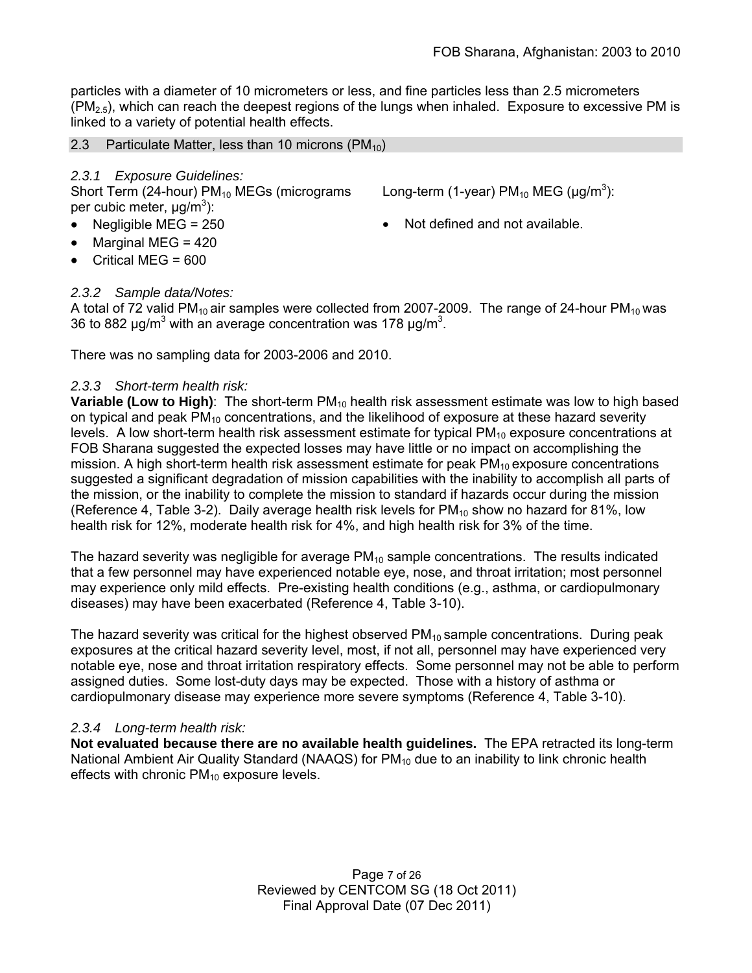particles with a diameter of 10 micrometers or less, and fine particles less than 2.5 micrometers  $(PM<sub>2.5</sub>)$ , which can reach the deepest regions of the lungs when inhaled. Exposure to excessive PM is linked to a variety of potential health effects.

### 2.3 Particulate Matter, less than 10 microns  $(PM_{10})$

### *2.3.1 Exposure Guidelines:*

Short Term (24-hour)  $PM_{10}$  MEGs (micrograms per cubic meter, μg/m<sup>3</sup>):

- 
- $\bullet$  Marginal MEG = 420
- $\bullet$  Critical MEG = 600

## *2.3.2 Sample data/Notes:*

A total of 72 valid PM<sub>10</sub> air samples were collected from 2007-2009. The range of 24-hour PM<sub>10</sub> was 36 to 882  $\mu$ g/m<sup>3</sup> with an average concentration was 178  $\mu$ g/m<sup>3</sup>.

There was no sampling data for 2003-2006 and 2010.

## *2.3.3 Short-term health risk:*

**Variable (Low to High):** The short-term PM<sub>10</sub> health risk assessment estimate was low to high based on typical and peak  $PM_{10}$  concentrations, and the likelihood of exposure at these hazard severity levels. A low short-term health risk assessment estimate for typical  $PM_{10}$  exposure concentrations at FOB Sharana suggested the expected losses may have little or no impact on accomplishing the mission. A high short-term health risk assessment estimate for peak  $PM_{10}$  exposure concentrations suggested a significant degradation of mission capabilities with the inability to accomplish all parts of the mission, or the inability to complete the mission to standard if hazards occur during the mission (Reference 4, Table 3-2). Daily average health risk levels for  $PM_{10}$  show no hazard for 81%, low health risk for 12%, moderate health risk for 4%, and high health risk for 3% of the time.

The hazard severity was negligible for average  $PM_{10}$  sample concentrations. The results indicated that a few personnel may have experienced notable eye, nose, and throat irritation; most personnel may experience only mild effects. Pre-existing health conditions (e.g., asthma, or cardiopulmonary diseases) may have been exacerbated (Reference 4, Table 3-10).

The hazard severity was critical for the highest observed  $PM_{10}$  sample concentrations. During peak exposures at the critical hazard severity level, most, if not all, personnel may have experienced very notable eye, nose and throat irritation respiratory effects. Some personnel may not be able to perform assigned duties. Some lost-duty days may be expected. Those with a history of asthma or cardiopulmonary disease may experience more severe symptoms (Reference 4, Table 3-10).

### *2.3.4 Long-term health risk:*

**Not evaluated because there are no available health guidelines.** The EPA retracted its long-term National Ambient Air Quality Standard (NAAQS) for  $PM_{10}$  due to an inability to link chronic health effects with chronic  $PM_{10}$  exposure levels.

Negligible MEG =  $250$   $\bullet$  Not defined and not available.

Long-term (1-year)  $PM_{10}$  MEG ( $\mu$ g/m<sup>3</sup>):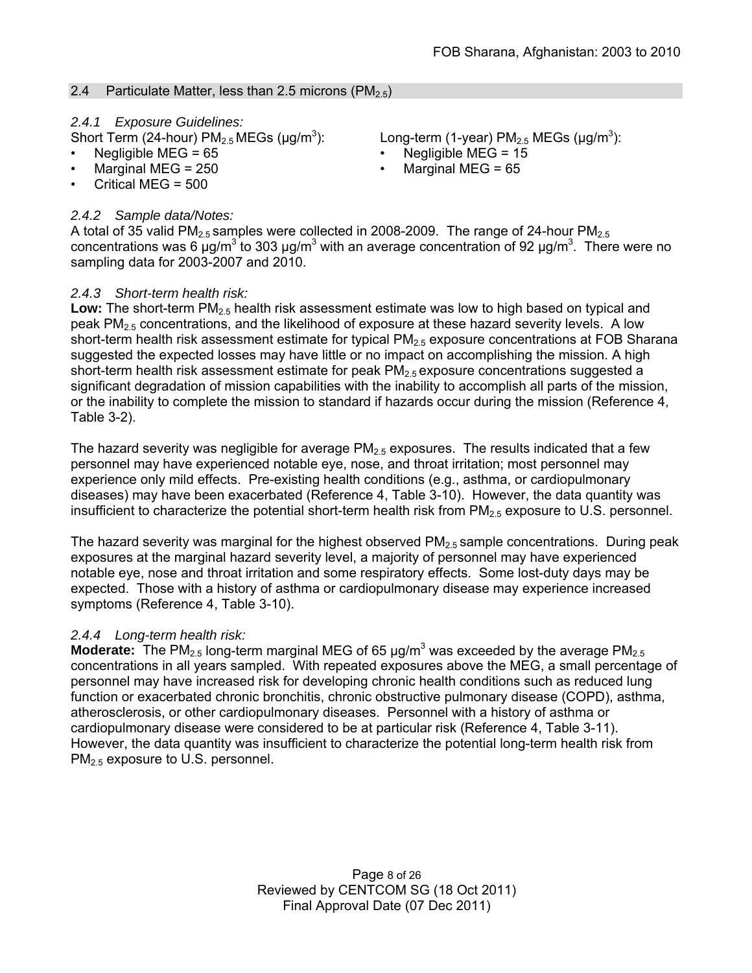### 2.4 Particulate Matter, less than 2.5 microns  $(PM_{2.5})$

### *2.4.1 Exposure Guidelines:*

- Short Term (24-hour)  $PM_{2.5}$  MEGs ( $\mu q/m^3$ ):
- Negligible MEG = 65 Negligible MEG = 15
- 
- Critical MEG = 500

# *2.4.2 Sample data/Notes:*

): Long-term (1-year)  $PM_{2.5}$  MEGs ( $\mu$ g/m<sup>3</sup>):

- 
- Marginal MEG = 250 Marginal MEG = 65

A total of 35 valid  $PM<sub>2.5</sub>$  samples were collected in 2008-2009. The range of 24-hour  $PM<sub>2.5</sub>$ concentrations was 6 μg/m<sup>3</sup> to 303 μg/m<sup>3</sup> with an average concentration of 92 μg/m<sup>3</sup>. There were no sampling data for 2003-2007 and 2010.

## *2.4.3 Short-term health risk:*

Low: The short-term PM<sub>2.5</sub> health risk assessment estimate was low to high based on typical and peak  $PM<sub>2.5</sub>$  concentrations, and the likelihood of exposure at these hazard severity levels. A low short-term health risk assessment estimate for typical  $PM_{2.5}$  exposure concentrations at FOB Sharana suggested the expected losses may have little or no impact on accomplishing the mission. A high short-term health risk assessment estimate for peak  $PM_{2.5}$  exposure concentrations suggested a significant degradation of mission capabilities with the inability to accomplish all parts of the mission, or the inability to complete the mission to standard if hazards occur during the mission (Reference 4, Table 3-2).

The hazard severity was negligible for average  $PM<sub>2.5</sub>$  exposures. The results indicated that a few personnel may have experienced notable eye, nose, and throat irritation; most personnel may experience only mild effects. Pre-existing health conditions (e.g., asthma, or cardiopulmonary diseases) may have been exacerbated (Reference 4, Table 3-10). However, the data quantity was insufficient to characterize the potential short-term health risk from  $PM_{2.5}$  exposure to U.S. personnel.

The hazard severity was marginal for the highest observed  $PM_{2.5}$  sample concentrations. During peak exposures at the marginal hazard severity level, a majority of personnel may have experienced notable eye, nose and throat irritation and some respiratory effects. Some lost-duty days may be expected. Those with a history of asthma or cardiopulmonary disease may experience increased symptoms (Reference 4, Table 3-10).

# *2.4.4 Long-term health risk:*

Moderate: The PM<sub>2.5</sub> long-term marginal MEG of 65 µg/m<sup>3</sup> was exceeded by the average PM<sub>2.5</sub> concentrations in all years sampled. With repeated exposures above the MEG, a small percentage of personnel may have increased risk for developing chronic health conditions such as reduced lung function or exacerbated chronic bronchitis, chronic obstructive pulmonary disease (COPD), asthma, atherosclerosis, or other cardiopulmonary diseases. Personnel with a history of asthma or cardiopulmonary disease were considered to be at particular risk (Reference 4, Table 3-11). However, the data quantity was insufficient to characterize the potential long-term health risk from PM<sub>2.5</sub> exposure to U.S. personnel.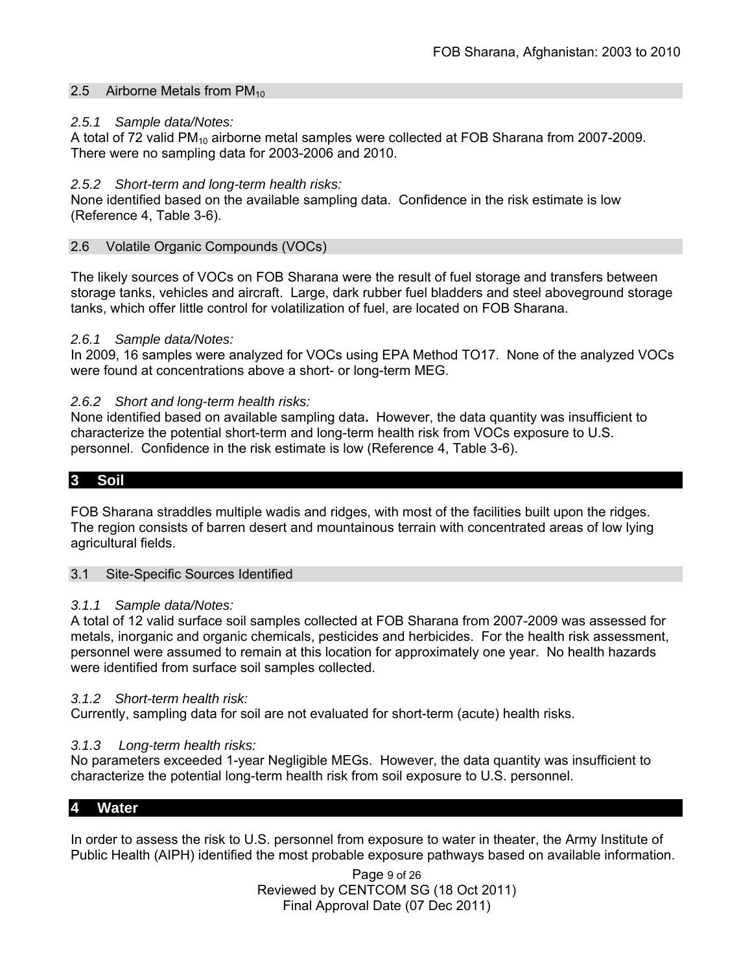### 2.5 Airborne Metals from  $PM_{10}$

### *2.5.1 Sample data/Notes:*

A total of 72 valid PM<sub>10</sub> airborne metal samples were collected at FOB Sharana from 2007-2009. There were no sampling data for 2003-2006 and 2010.

### *2.5.2 Short-term and long-term health risks:*

None identified based on the available sampling data. Confidence in the risk estimate is low (Reference 4, Table 3-6).

### 2.6 Volatile Organic Compounds (VOCs)

The likely sources of VOCs on FOB Sharana were the result of fuel storage and transfers between storage tanks, vehicles and aircraft. Large, dark rubber fuel bladders and steel aboveground storage tanks, which offer little control for volatilization of fuel, are located on FOB Sharana.

### *2.6.1 Sample data/Notes:*

In 2009, 16 samples were analyzed for VOCs using EPA Method TO17. None of the analyzed VOCs were found at concentrations above a short- or long-term MEG.

### *2.6.2 Short and long-term health risks:*

None identified based on available sampling data**.** However, the data quantity was insufficient to characterize the potential short-term and long-term health risk from VOCs exposure to U.S. personnel. Confidence in the risk estimate is low (Reference 4, Table 3-6).

# **3 Soil**

FOB Sharana straddles multiple wadis and ridges, with most of the facilities built upon the ridges. The region consists of barren desert and mountainous terrain with concentrated areas of low lying agricultural fields.

#### 3.1 Site-Specific Sources Identified

#### *3.1.1 Sample data/Notes:*

A total of 12 valid surface soil samples collected at FOB Sharana from 2007-2009 was assessed for metals, inorganic and organic chemicals, pesticides and herbicides. For the health risk assessment, personnel were assumed to remain at this location for approximately one year. No health hazards were identified from surface soil samples collected.

#### *3.1.2 Short-term health risk:*

Currently, sampling data for soil are not evaluated for short-term (acute) health risks.

### *3.1.3 Long-term health risks:*

No parameters exceeded 1-year Negligible MEGs. However, the data quantity was insufficient to characterize the potential long-term health risk from soil exposure to U.S. personnel.

### **4 Water**

In order to assess the risk to U.S. personnel from exposure to water in theater, the Army Institute of Public Health (AIPH) identified the most probable exposure pathways based on available information.

> Page 9 of 26 Reviewed by CENTCOM SG (18 Oct 2011) Final Approval Date (07 Dec 2011)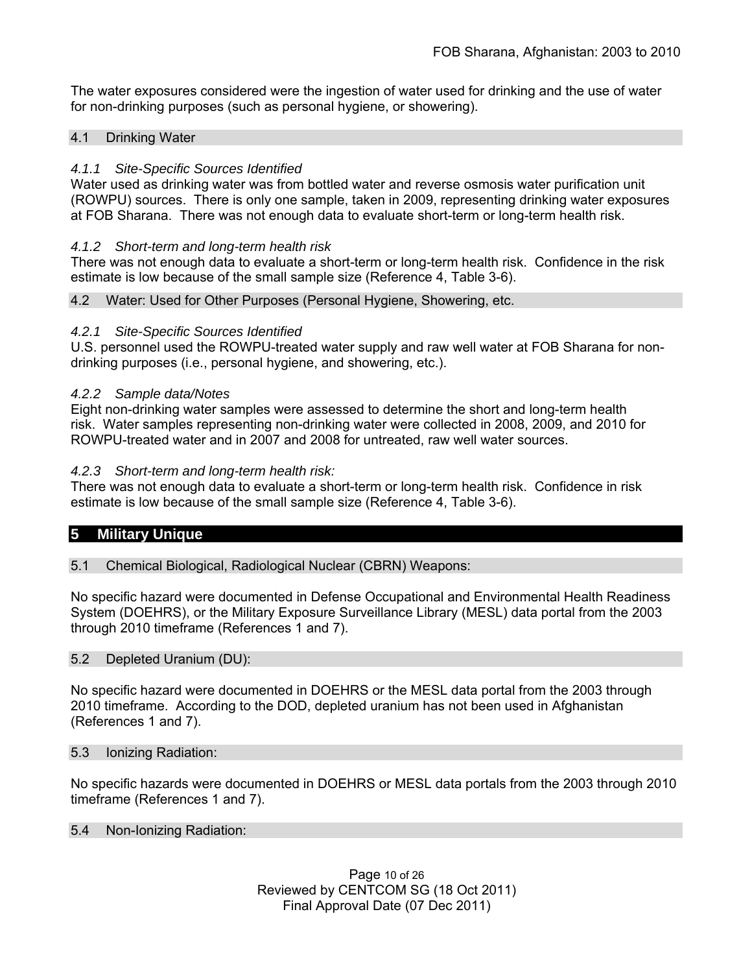The water exposures considered were the ingestion of water used for drinking and the use of water for non-drinking purposes (such as personal hygiene, or showering).

### 4.1 Drinking Water

### *4.1.1 Site-Specific Sources Identified*

Water used as drinking water was from bottled water and reverse osmosis water purification unit (ROWPU) sources. There is only one sample, taken in 2009, representing drinking water exposures at FOB Sharana. There was not enough data to evaluate short-term or long-term health risk.

### *4.1.2 Short-term and long-term health risk*

There was not enough data to evaluate a short-term or long-term health risk. Confidence in the risk estimate is low because of the small sample size (Reference 4, Table 3-6).

4.2 Water: Used for Other Purposes (Personal Hygiene, Showering, etc.

### *4.2.1 Site-Specific Sources Identified*

U.S. personnel used the ROWPU-treated water supply and raw well water at FOB Sharana for nondrinking purposes (i.e., personal hygiene, and showering, etc.).

#### *4.2.2 Sample data/Notes*

Eight non-drinking water samples were assessed to determine the short and long-term health risk. Water samples representing non-drinking water were collected in 2008, 2009, and 2010 for ROWPU-treated water and in 2007 and 2008 for untreated, raw well water sources.

### *4.2.3 Short-term and long-term health risk:*

There was not enough data to evaluate a short-term or long-term health risk. Confidence in risk estimate is low because of the small sample size (Reference 4, Table 3-6).

### **5 Military Unique**

#### 5.1 Chemical Biological, Radiological Nuclear (CBRN) Weapons:

No specific hazard were documented in Defense Occupational and Environmental Health Readiness System (DOEHRS), or the Military Exposure Surveillance Library (MESL) data portal from the 2003 through 2010 timeframe (References 1 and 7).

#### 5.2 Depleted Uranium (DU):

No specific hazard were documented in DOEHRS or the MESL data portal from the 2003 through 2010 timeframe. According to the DOD, depleted uranium has not been used in Afghanistan (References 1 and 7).

#### 5.3 Ionizing Radiation:

No specific hazards were documented in DOEHRS or MESL data portals from the 2003 through 2010 timeframe (References 1 and 7).

#### 5.4 Non-Ionizing Radiation: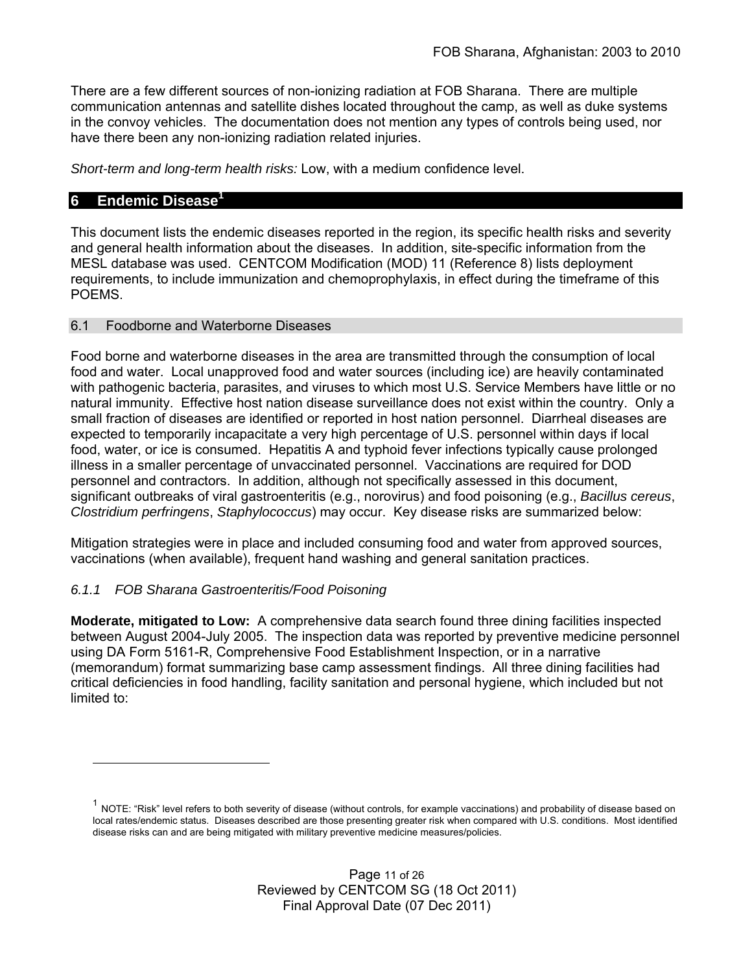There are a few different sources of non-ionizing radiation at FOB Sharana. There are multiple communication antennas and satellite dishes located throughout the camp, as well as duke systems in the convoy vehicles. The documentation does not mention any types of controls being used, nor have there been any non-ionizing radiation related injuries.

*Short-term and long-term health risks:* Low, with a medium confidence level.

# **6 Endemic Disease<sup>1</sup>**

This document lists the endemic diseases reported in the region, its specific health risks and severity and general health information about the diseases. In addition, site-specific information from the MESL database was used. CENTCOM Modification (MOD) 11 (Reference 8) lists deployment requirements, to include immunization and chemoprophylaxis, in effect during the timeframe of this POEMS.

### 6.1 Foodborne and Waterborne Diseases

Food borne and waterborne diseases in the area are transmitted through the consumption of local food and water. Local unapproved food and water sources (including ice) are heavily contaminated with pathogenic bacteria, parasites, and viruses to which most U.S. Service Members have little or no natural immunity. Effective host nation disease surveillance does not exist within the country. Only a small fraction of diseases are identified or reported in host nation personnel. Diarrheal diseases are expected to temporarily incapacitate a very high percentage of U.S. personnel within days if local food, water, or ice is consumed. Hepatitis A and typhoid fever infections typically cause prolonged illness in a smaller percentage of unvaccinated personnel. Vaccinations are required for DOD personnel and contractors. In addition, although not specifically assessed in this document, significant outbreaks of viral gastroenteritis (e.g., norovirus) and food poisoning (e.g., *Bacillus cereus*, *Clostridium perfringens*, *Staphylococcus*) may occur. Key disease risks are summarized below:

Mitigation strategies were in place and included consuming food and water from approved sources, vaccinations (when available), frequent hand washing and general sanitation practices.

# *6.1.1 FOB Sharana Gastroenteritis/Food Poisoning*

**Moderate, mitigated to Low:** A comprehensive data search found three dining facilities inspected between August 2004-July 2005. The inspection data was reported by preventive medicine personnel using DA Form 5161-R, Comprehensive Food Establishment Inspection, or in a narrative (memorandum) format summarizing base camp assessment findings. All three dining facilities had critical deficiencies in food handling, facility sanitation and personal hygiene, which included but not limited to:

 $1$  NOTE: "Risk" level refers to both severity of disease (without controls, for example vaccinations) and probability of disease based on local rates/endemic status. Diseases described are those presenting greater risk when compared with U.S. conditions. Most identified disease risks can and are being mitigated with military preventive medicine measures/policies.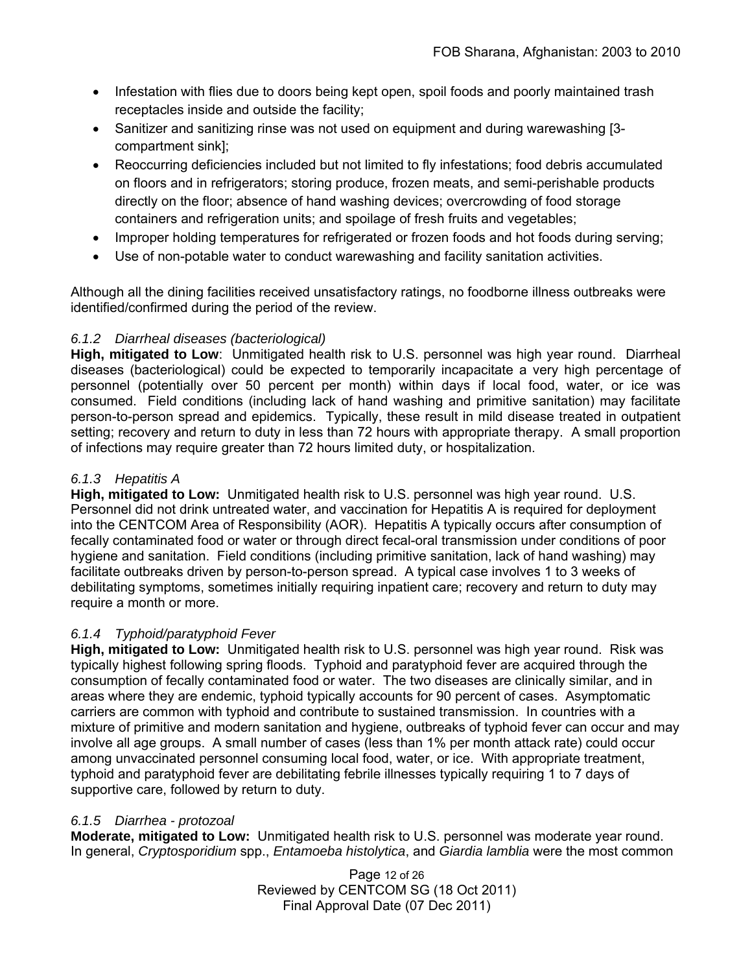- Infestation with flies due to doors being kept open, spoil foods and poorly maintained trash receptacles inside and outside the facility;
- Sanitizer and sanitizing rinse was not used on equipment and during warewashing [3compartment sink];
- Reoccurring deficiencies included but not limited to fly infestations; food debris accumulated on floors and in refrigerators; storing produce, frozen meats, and semi-perishable products directly on the floor; absence of hand washing devices; overcrowding of food storage containers and refrigeration units; and spoilage of fresh fruits and vegetables;
- Improper holding temperatures for refrigerated or frozen foods and hot foods during serving;
- Use of non-potable water to conduct warewashing and facility sanitation activities.

Although all the dining facilities received unsatisfactory ratings, no foodborne illness outbreaks were identified/confirmed during the period of the review.

# *6.1.2 Diarrheal diseases (bacteriological)*

**High, mitigated to Low**: Unmitigated health risk to U.S. personnel was high year round. Diarrheal diseases (bacteriological) could be expected to temporarily incapacitate a very high percentage of personnel (potentially over 50 percent per month) within days if local food, water, or ice was consumed. Field conditions (including lack of hand washing and primitive sanitation) may facilitate person-to-person spread and epidemics. Typically, these result in mild disease treated in outpatient setting; recovery and return to duty in less than 72 hours with appropriate therapy. A small proportion of infections may require greater than 72 hours limited duty, or hospitalization.

# *6.1.3 Hepatitis A*

**High, mitigated to Low:** Unmitigated health risk to U.S. personnel was high year round. U.S. Personnel did not drink untreated water, and vaccination for Hepatitis A is required for deployment into the CENTCOM Area of Responsibility (AOR). Hepatitis A typically occurs after consumption of fecally contaminated food or water or through direct fecal-oral transmission under conditions of poor hygiene and sanitation. Field conditions (including primitive sanitation, lack of hand washing) may facilitate outbreaks driven by person-to-person spread. A typical case involves 1 to 3 weeks of debilitating symptoms, sometimes initially requiring inpatient care; recovery and return to duty may require a month or more.

# *6.1.4 Typhoid/paratyphoid Fever*

**High, mitigated to Low:** Unmitigated health risk to U.S. personnel was high year round. Risk was typically highest following spring floods. Typhoid and paratyphoid fever are acquired through the consumption of fecally contaminated food or water. The two diseases are clinically similar, and in areas where they are endemic, typhoid typically accounts for 90 percent of cases. Asymptomatic carriers are common with typhoid and contribute to sustained transmission. In countries with a mixture of primitive and modern sanitation and hygiene, outbreaks of typhoid fever can occur and may involve all age groups. A small number of cases (less than 1% per month attack rate) could occur among unvaccinated personnel consuming local food, water, or ice. With appropriate treatment, typhoid and paratyphoid fever are debilitating febrile illnesses typically requiring 1 to 7 days of supportive care, followed by return to duty.

# *6.1.5 Diarrhea - protozoal*

**Moderate, mitigated to Low:** Unmitigated health risk to U.S. personnel was moderate year round. In general, *Cryptosporidium* spp., *Entamoeba histolytica*, and *Giardia lamblia* were the most common

> Page 12 of 26 Reviewed by CENTCOM SG (18 Oct 2011) Final Approval Date (07 Dec 2011)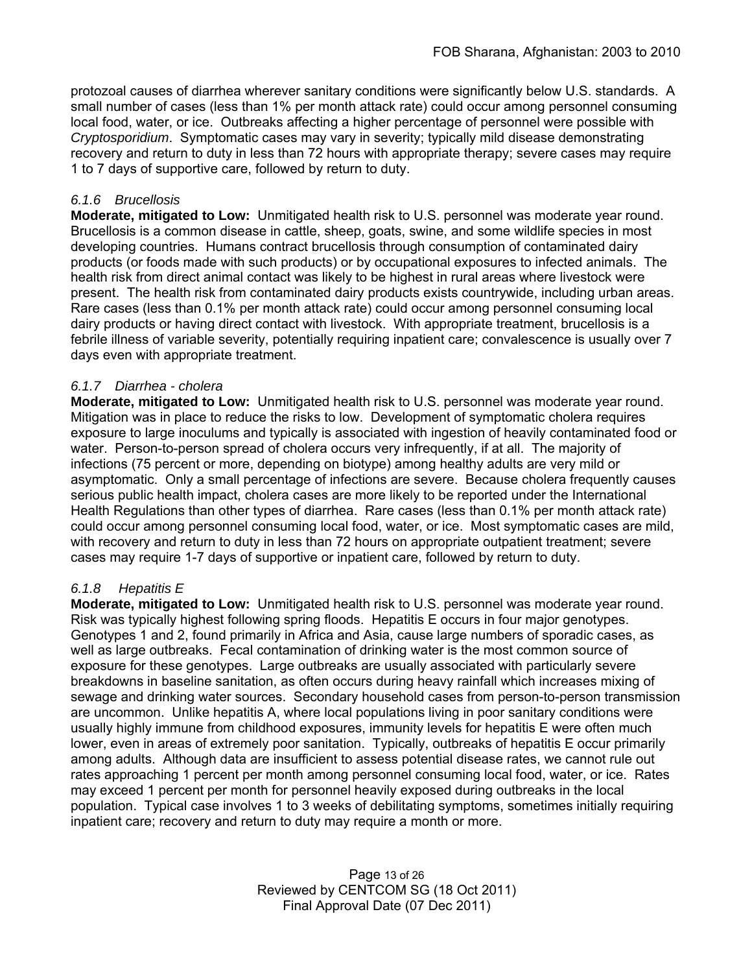protozoal causes of diarrhea wherever sanitary conditions were significantly below U.S. standards. A small number of cases (less than 1% per month attack rate) could occur among personnel consuming local food, water, or ice. Outbreaks affecting a higher percentage of personnel were possible with *Cryptosporidium*. Symptomatic cases may vary in severity; typically mild disease demonstrating recovery and return to duty in less than 72 hours with appropriate therapy; severe cases may require 1 to 7 days of supportive care, followed by return to duty.

# *6.1.6 Brucellosis*

**Moderate, mitigated to Low:** Unmitigated health risk to U.S. personnel was moderate year round. Brucellosis is a common disease in cattle, sheep, goats, swine, and some wildlife species in most developing countries. Humans contract brucellosis through consumption of contaminated dairy products (or foods made with such products) or by occupational exposures to infected animals. The health risk from direct animal contact was likely to be highest in rural areas where livestock were present. The health risk from contaminated dairy products exists countrywide, including urban areas. Rare cases (less than 0.1% per month attack rate) could occur among personnel consuming local dairy products or having direct contact with livestock. With appropriate treatment, brucellosis is a febrile illness of variable severity, potentially requiring inpatient care; convalescence is usually over 7 days even with appropriate treatment.

## *6.1.7 Diarrhea - cholera*

**Moderate, mitigated to Low:** Unmitigated health risk to U.S. personnel was moderate year round. Mitigation was in place to reduce the risks to low. Development of symptomatic cholera requires exposure to large inoculums and typically is associated with ingestion of heavily contaminated food or water. Person-to-person spread of cholera occurs very infrequently, if at all. The majority of infections (75 percent or more, depending on biotype) among healthy adults are very mild or asymptomatic. Only a small percentage of infections are severe. Because cholera frequently causes serious public health impact, cholera cases are more likely to be reported under the International Health Regulations than other types of diarrhea. Rare cases (less than 0.1% per month attack rate) could occur among personnel consuming local food, water, or ice. Most symptomatic cases are mild, with recovery and return to duty in less than 72 hours on appropriate outpatient treatment; severe cases may require 1-7 days of supportive or inpatient care, followed by return to duty.

### *6.1.8 Hepatitis E*

**Moderate, mitigated to Low:** Unmitigated health risk to U.S. personnel was moderate year round. Risk was typically highest following spring floods. Hepatitis E occurs in four major genotypes. Genotypes 1 and 2, found primarily in Africa and Asia, cause large numbers of sporadic cases, as well as large outbreaks. Fecal contamination of drinking water is the most common source of exposure for these genotypes. Large outbreaks are usually associated with particularly severe breakdowns in baseline sanitation, as often occurs during heavy rainfall which increases mixing of sewage and drinking water sources. Secondary household cases from person-to-person transmission are uncommon. Unlike hepatitis A, where local populations living in poor sanitary conditions were usually highly immune from childhood exposures, immunity levels for hepatitis E were often much lower, even in areas of extremely poor sanitation. Typically, outbreaks of hepatitis E occur primarily among adults. Although data are insufficient to assess potential disease rates, we cannot rule out rates approaching 1 percent per month among personnel consuming local food, water, or ice. Rates may exceed 1 percent per month for personnel heavily exposed during outbreaks in the local population. Typical case involves 1 to 3 weeks of debilitating symptoms, sometimes initially requiring inpatient care; recovery and return to duty may require a month or more.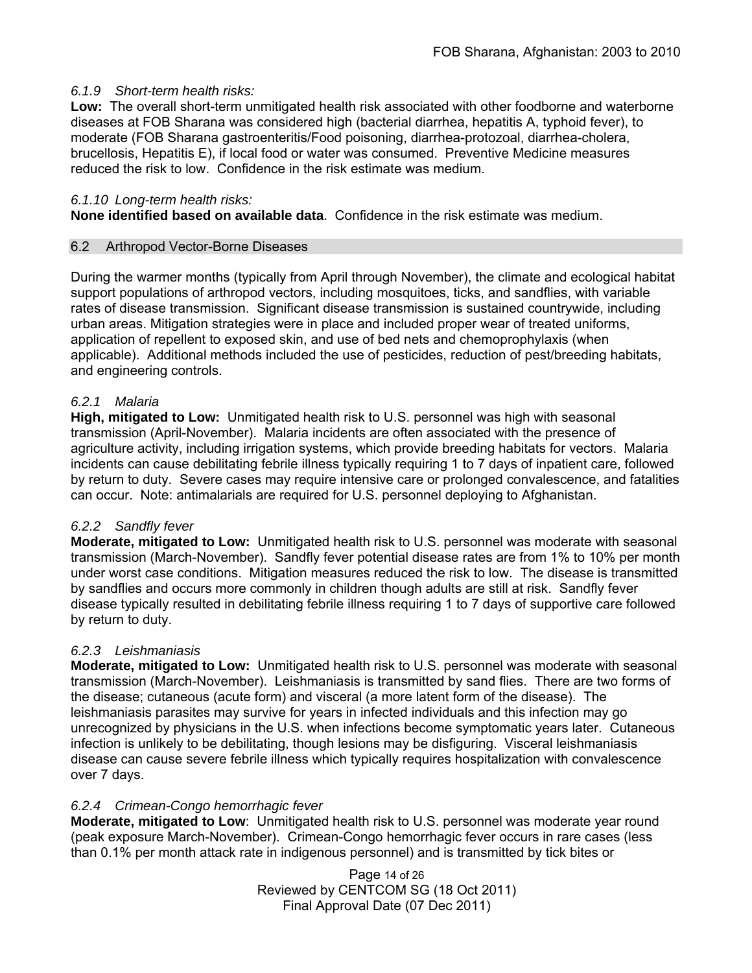## *6.1.9 Short-term health risks:*

**Low:** The overall short-term unmitigated health risk associated with other foodborne and waterborne diseases at FOB Sharana was considered high (bacterial diarrhea, hepatitis A, typhoid fever), to moderate (FOB Sharana gastroenteritis/Food poisoning, diarrhea-protozoal, diarrhea-cholera, brucellosis, Hepatitis E), if local food or water was consumed. Preventive Medicine measures reduced the risk to low. Confidence in the risk estimate was medium.

### *6.1.10 Long-term health risks:*

**None identified based on available data**.Confidence in the risk estimate was medium.

## 6.2 Arthropod Vector-Borne Diseases

During the warmer months (typically from April through November), the climate and ecological habitat support populations of arthropod vectors, including mosquitoes, ticks, and sandflies, with variable rates of disease transmission. Significant disease transmission is sustained countrywide, including urban areas. Mitigation strategies were in place and included proper wear of treated uniforms, application of repellent to exposed skin, and use of bed nets and chemoprophylaxis (when applicable). Additional methods included the use of pesticides, reduction of pest/breeding habitats, and engineering controls.

## *6.2.1 Malaria*

**High, mitigated to Low:** Unmitigated health risk to U.S. personnel was high with seasonal transmission (April-November). Malaria incidents are often associated with the presence of agriculture activity, including irrigation systems, which provide breeding habitats for vectors. Malaria incidents can cause debilitating febrile illness typically requiring 1 to 7 days of inpatient care, followed by return to duty. Severe cases may require intensive care or prolonged convalescence, and fatalities can occur. Note: antimalarials are required for U.S. personnel deploying to Afghanistan.

### *6.2.2 Sandfly fever*

**Moderate, mitigated to Low:** Unmitigated health risk to U.S. personnel was moderate with seasonal transmission (March-November). Sandfly fever potential disease rates are from 1% to 10% per month under worst case conditions. Mitigation measures reduced the risk to low. The disease is transmitted by sandflies and occurs more commonly in children though adults are still at risk. Sandfly fever disease typically resulted in debilitating febrile illness requiring 1 to 7 days of supportive care followed by return to duty.

# *6.2.3 Leishmaniasis*

**Moderate, mitigated to Low:** Unmitigated health risk to U.S. personnel was moderate with seasonal transmission (March-November). Leishmaniasis is transmitted by sand flies. There are two forms of the disease; cutaneous (acute form) and visceral (a more latent form of the disease). The leishmaniasis parasites may survive for years in infected individuals and this infection may go unrecognized by physicians in the U.S. when infections become symptomatic years later. Cutaneous infection is unlikely to be debilitating, though lesions may be disfiguring. Visceral leishmaniasis disease can cause severe febrile illness which typically requires hospitalization with convalescence over 7 days.

### *6.2.4 Crimean-Congo hemorrhagic fever*

**Moderate, mitigated to Low**: Unmitigated health risk to U.S. personnel was moderate year round (peak exposure March-November). Crimean-Congo hemorrhagic fever occurs in rare cases (less than 0.1% per month attack rate in indigenous personnel) and is transmitted by tick bites or

> Page 14 of 26 Reviewed by CENTCOM SG (18 Oct 2011) Final Approval Date (07 Dec 2011)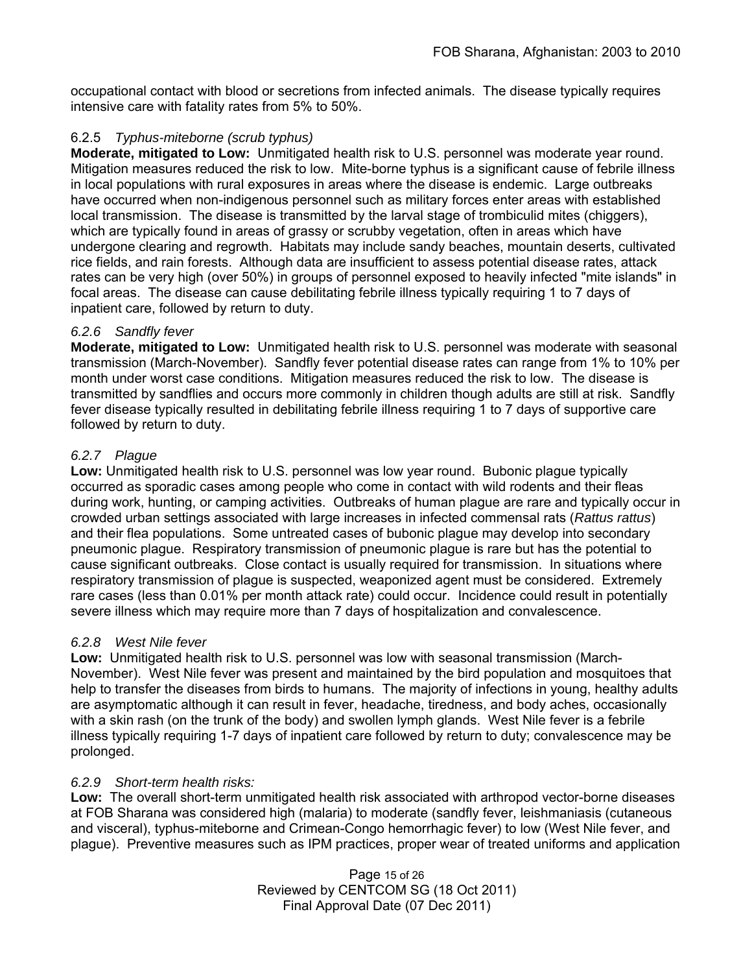occupational contact with blood or secretions from infected animals. The disease typically requires intensive care with fatality rates from 5% to 50%.

# 6.2.5 *Typhus-miteborne (scrub typhus)*

**Moderate, mitigated to Low:** Unmitigated health risk to U.S. personnel was moderate year round. Mitigation measures reduced the risk to low. Mite-borne typhus is a significant cause of febrile illness in local populations with rural exposures in areas where the disease is endemic. Large outbreaks have occurred when non-indigenous personnel such as military forces enter areas with established local transmission. The disease is transmitted by the larval stage of trombiculid mites (chiggers), which are typically found in areas of grassy or scrubby vegetation, often in areas which have undergone clearing and regrowth. Habitats may include sandy beaches, mountain deserts, cultivated rice fields, and rain forests. Although data are insufficient to assess potential disease rates, attack rates can be very high (over 50%) in groups of personnel exposed to heavily infected "mite islands" in focal areas. The disease can cause debilitating febrile illness typically requiring 1 to 7 days of inpatient care, followed by return to duty.

# *6.2.6 Sandfly fever*

**Moderate, mitigated to Low:** Unmitigated health risk to U.S. personnel was moderate with seasonal transmission (March-November). Sandfly fever potential disease rates can range from 1% to 10% per month under worst case conditions. Mitigation measures reduced the risk to low. The disease is transmitted by sandflies and occurs more commonly in children though adults are still at risk. Sandfly fever disease typically resulted in debilitating febrile illness requiring 1 to 7 days of supportive care followed by return to duty.

## *6.2.7 Plague*

**Low:** Unmitigated health risk to U.S. personnel was low year round. Bubonic plague typically occurred as sporadic cases among people who come in contact with wild rodents and their fleas during work, hunting, or camping activities. Outbreaks of human plague are rare and typically occur in crowded urban settings associated with large increases in infected commensal rats (*Rattus rattus*) and their flea populations. Some untreated cases of bubonic plague may develop into secondary pneumonic plague. Respiratory transmission of pneumonic plague is rare but has the potential to cause significant outbreaks. Close contact is usually required for transmission. In situations where respiratory transmission of plague is suspected, weaponized agent must be considered. Extremely rare cases (less than 0.01% per month attack rate) could occur. Incidence could result in potentially severe illness which may require more than 7 days of hospitalization and convalescence.

### *6.2.8 West Nile fever*

**Low:** Unmitigated health risk to U.S. personnel was low with seasonal transmission (March-November). West Nile fever was present and maintained by the bird population and mosquitoes that help to transfer the diseases from birds to humans. The majority of infections in young, healthy adults are asymptomatic although it can result in fever, headache, tiredness, and body aches, occasionally with a skin rash (on the trunk of the body) and swollen lymph glands. West Nile fever is a febrile illness typically requiring 1-7 days of inpatient care followed by return to duty; convalescence may be prolonged.

# *6.2.9 Short-term health risks:*

**Low:** The overall short-term unmitigated health risk associated with arthropod vector-borne diseases at FOB Sharana was considered high (malaria) to moderate (sandfly fever, leishmaniasis (cutaneous and visceral), typhus-miteborne and Crimean-Congo hemorrhagic fever) to low (West Nile fever, and plague). Preventive measures such as IPM practices, proper wear of treated uniforms and application

> Page 15 of 26 Reviewed by CENTCOM SG (18 Oct 2011) Final Approval Date (07 Dec 2011)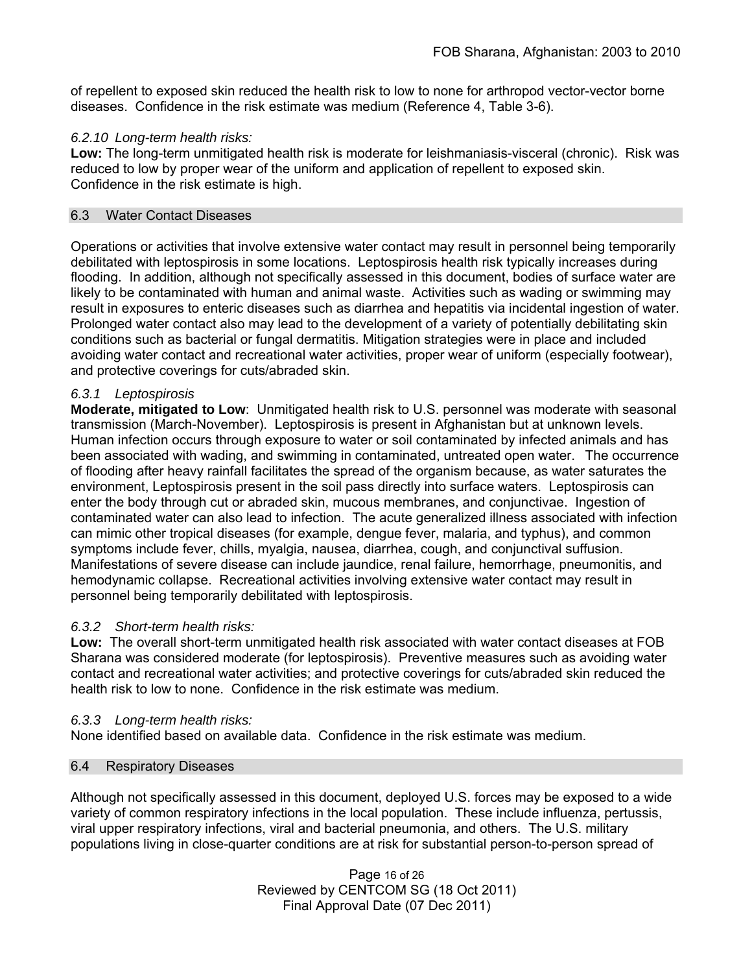of repellent to exposed skin reduced the health risk to low to none for arthropod vector-vector borne diseases. Confidence in the risk estimate was medium (Reference 4, Table 3-6).

## *6.2.10 Long-term health risks:*

**Low:** The long-term unmitigated health risk is moderate for leishmaniasis-visceral (chronic). Risk was reduced to low by proper wear of the uniform and application of repellent to exposed skin. Confidence in the risk estimate is high.

## 6.3 Water Contact Diseases

Operations or activities that involve extensive water contact may result in personnel being temporarily debilitated with leptospirosis in some locations. Leptospirosis health risk typically increases during flooding. In addition, although not specifically assessed in this document, bodies of surface water are likely to be contaminated with human and animal waste. Activities such as wading or swimming may result in exposures to enteric diseases such as diarrhea and hepatitis via incidental ingestion of water. Prolonged water contact also may lead to the development of a variety of potentially debilitating skin conditions such as bacterial or fungal dermatitis. Mitigation strategies were in place and included avoiding water contact and recreational water activities, proper wear of uniform (especially footwear), and protective coverings for cuts/abraded skin.

## *6.3.1 Leptospirosis*

**Moderate, mitigated to Low**: Unmitigated health risk to U.S. personnel was moderate with seasonal transmission (March-November). Leptospirosis is present in Afghanistan but at unknown levels. Human infection occurs through exposure to water or soil contaminated by infected animals and has been associated with wading, and swimming in contaminated, untreated open water.The occurrence of flooding after heavy rainfall facilitates the spread of the organism because, as water saturates the environment, Leptospirosis present in the soil pass directly into surface waters. Leptospirosis can enter the body through cut or abraded skin, mucous membranes, and conjunctivae. Ingestion of contaminated water can also lead to infection. The acute generalized illness associated with infection can mimic other tropical diseases (for example, dengue fever, malaria, and typhus), and common symptoms include fever, chills, myalgia, nausea, diarrhea, cough, and conjunctival suffusion. Manifestations of severe disease can include jaundice, renal failure, hemorrhage, pneumonitis, and hemodynamic collapse. Recreational activities involving extensive water contact may result in personnel being temporarily debilitated with leptospirosis.

### *6.3.2 Short-term health risks:*

**Low:** The overall short-term unmitigated health risk associated with water contact diseases at FOB Sharana was considered moderate (for leptospirosis). Preventive measures such as avoiding water contact and recreational water activities; and protective coverings for cuts/abraded skin reduced the health risk to low to none. Confidence in the risk estimate was medium.

### *6.3.3 Long-term health risks:*

None identified based on available data. Confidence in the risk estimate was medium.

### 6.4 Respiratory Diseases

Although not specifically assessed in this document, deployed U.S. forces may be exposed to a wide variety of common respiratory infections in the local population. These include influenza, pertussis, viral upper respiratory infections, viral and bacterial pneumonia, and others. The U.S. military populations living in close-quarter conditions are at risk for substantial person-to-person spread of

> Page 16 of 26 Reviewed by CENTCOM SG (18 Oct 2011) Final Approval Date (07 Dec 2011)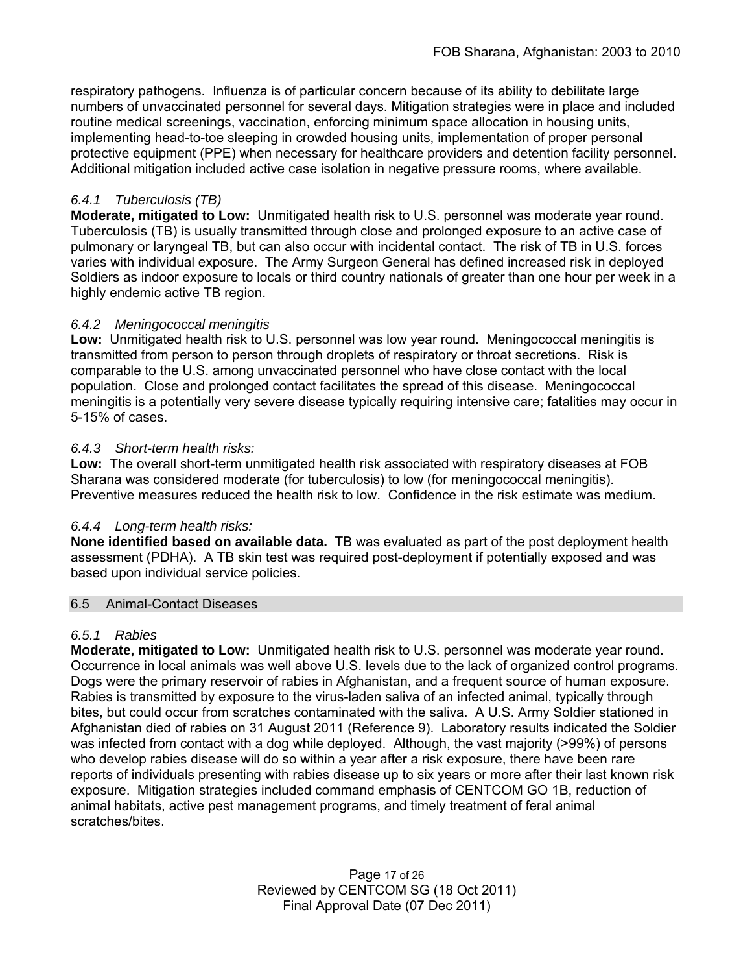respiratory pathogens. Influenza is of particular concern because of its ability to debilitate large numbers of unvaccinated personnel for several days. Mitigation strategies were in place and included routine medical screenings, vaccination, enforcing minimum space allocation in housing units, implementing head-to-toe sleeping in crowded housing units, implementation of proper personal protective equipment (PPE) when necessary for healthcare providers and detention facility personnel. Additional mitigation included active case isolation in negative pressure rooms, where available.

# *6.4.1 Tuberculosis (TB)*

**Moderate, mitigated to Low:** Unmitigated health risk to U.S. personnel was moderate year round. Tuberculosis (TB) is usually transmitted through close and prolonged exposure to an active case of pulmonary or laryngeal TB, but can also occur with incidental contact. The risk of TB in U.S. forces varies with individual exposure. The Army Surgeon General has defined increased risk in deployed Soldiers as indoor exposure to locals or third country nationals of greater than one hour per week in a highly endemic active TB region.

# *6.4.2 Meningococcal meningitis*

**Low:** Unmitigated health risk to U.S. personnel was low year round. Meningococcal meningitis is transmitted from person to person through droplets of respiratory or throat secretions. Risk is comparable to the U.S. among unvaccinated personnel who have close contact with the local population. Close and prolonged contact facilitates the spread of this disease. Meningococcal meningitis is a potentially very severe disease typically requiring intensive care; fatalities may occur in 5-15% of cases.

## *6.4.3 Short-term health risks:*

**Low:** The overall short-term unmitigated health risk associated with respiratory diseases at FOB Sharana was considered moderate (for tuberculosis) to low (for meningococcal meningitis). Preventive measures reduced the health risk to low. Confidence in the risk estimate was medium.

# *6.4.4 Long-term health risks:*

**None identified based on available data.** TB was evaluated as part of the post deployment health assessment (PDHA). A TB skin test was required post-deployment if potentially exposed and was based upon individual service policies.

### 6.5 Animal-Contact Diseases

### *6.5.1 Rabies*

**Moderate, mitigated to Low:** Unmitigated health risk to U.S. personnel was moderate year round. Occurrence in local animals was well above U.S. levels due to the lack of organized control programs. Dogs were the primary reservoir of rabies in Afghanistan, and a frequent source of human exposure. Rabies is transmitted by exposure to the virus-laden saliva of an infected animal, typically through bites, but could occur from scratches contaminated with the saliva. A U.S. Army Soldier stationed in Afghanistan died of rabies on 31 August 2011 (Reference 9). Laboratory results indicated the Soldier was infected from contact with a dog while deployed. Although, the vast majority (>99%) of persons who develop rabies disease will do so within a year after a risk exposure, there have been rare reports of individuals presenting with rabies disease up to six years or more after their last known risk exposure. Mitigation strategies included command emphasis of CENTCOM GO 1B, reduction of animal habitats, active pest management programs, and timely treatment of feral animal scratches/bites.

> Page 17 of 26 Reviewed by CENTCOM SG (18 Oct 2011) Final Approval Date (07 Dec 2011)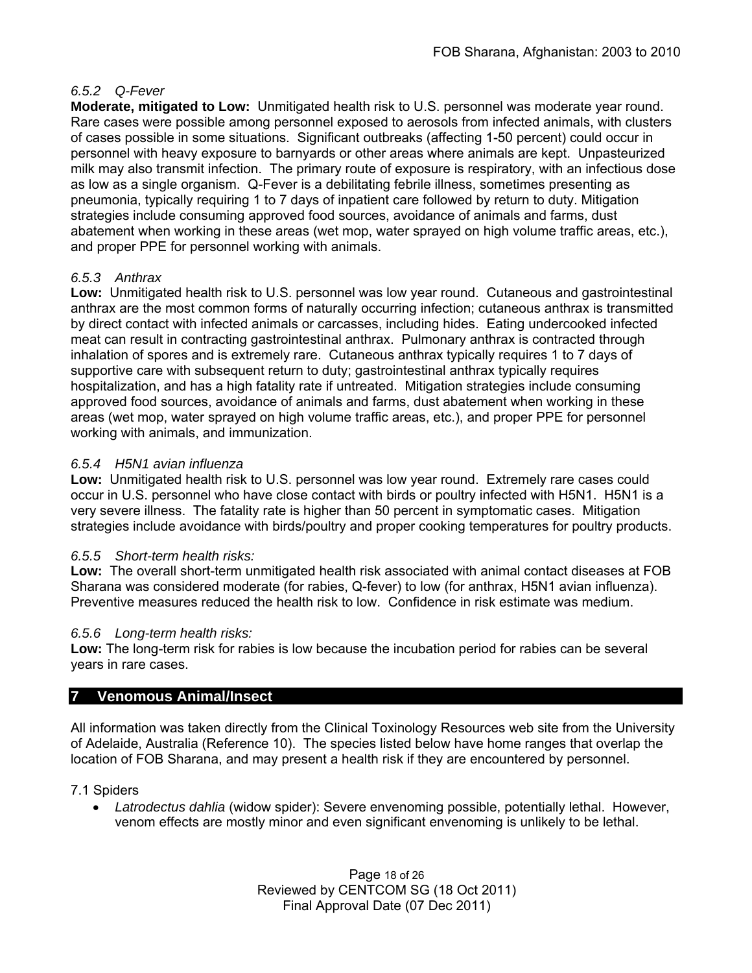# *6.5.2 Q-Fever*

**Moderate, mitigated to Low:** Unmitigated health risk to U.S. personnel was moderate year round. Rare cases were possible among personnel exposed to aerosols from infected animals, with clusters of cases possible in some situations. Significant outbreaks (affecting 1-50 percent) could occur in personnel with heavy exposure to barnyards or other areas where animals are kept. Unpasteurized milk may also transmit infection. The primary route of exposure is respiratory, with an infectious dose as low as a single organism. Q-Fever is a debilitating febrile illness, sometimes presenting as pneumonia, typically requiring 1 to 7 days of inpatient care followed by return to duty. Mitigation strategies include consuming approved food sources, avoidance of animals and farms, dust abatement when working in these areas (wet mop, water sprayed on high volume traffic areas, etc.), and proper PPE for personnel working with animals.

## *6.5.3 Anthrax*

**Low:** Unmitigated health risk to U.S. personnel was low year round. Cutaneous and gastrointestinal anthrax are the most common forms of naturally occurring infection; cutaneous anthrax is transmitted by direct contact with infected animals or carcasses, including hides. Eating undercooked infected meat can result in contracting gastrointestinal anthrax. Pulmonary anthrax is contracted through inhalation of spores and is extremely rare. Cutaneous anthrax typically requires 1 to 7 days of supportive care with subsequent return to duty; gastrointestinal anthrax typically requires hospitalization, and has a high fatality rate if untreated. Mitigation strategies include consuming approved food sources, avoidance of animals and farms, dust abatement when working in these areas (wet mop, water sprayed on high volume traffic areas, etc.), and proper PPE for personnel working with animals, and immunization.

## *6.5.4 H5N1 avian influenza*

**Low:** Unmitigated health risk to U.S. personnel was low year round. Extremely rare cases could occur in U.S. personnel who have close contact with birds or poultry infected with H5N1. H5N1 is a very severe illness. The fatality rate is higher than 50 percent in symptomatic cases. Mitigation strategies include avoidance with birds/poultry and proper cooking temperatures for poultry products.

### *6.5.5 Short-term health risks:*

**Low:** The overall short-term unmitigated health risk associated with animal contact diseases at FOB Sharana was considered moderate (for rabies, Q-fever) to low (for anthrax, H5N1 avian influenza). Preventive measures reduced the health risk to low. Confidence in risk estimate was medium.

### *6.5.6 Long-term health risks:*

**Low:** The long-term risk for rabies is low because the incubation period for rabies can be several years in rare cases.

# **7 Venomous Animal/Insect**

All information was taken directly from the Clinical Toxinology Resources web site from the University of Adelaide, Australia (Reference 10). The species listed below have home ranges that overlap the location of FOB Sharana, and may present a health risk if they are encountered by personnel.

### 7.1 Spiders

 *Latrodectus dahlia* (widow spider): Severe envenoming possible, potentially lethal. However, venom effects are mostly minor and even significant envenoming is unlikely to be lethal.

> Page 18 of 26 Reviewed by CENTCOM SG (18 Oct 2011) Final Approval Date (07 Dec 2011)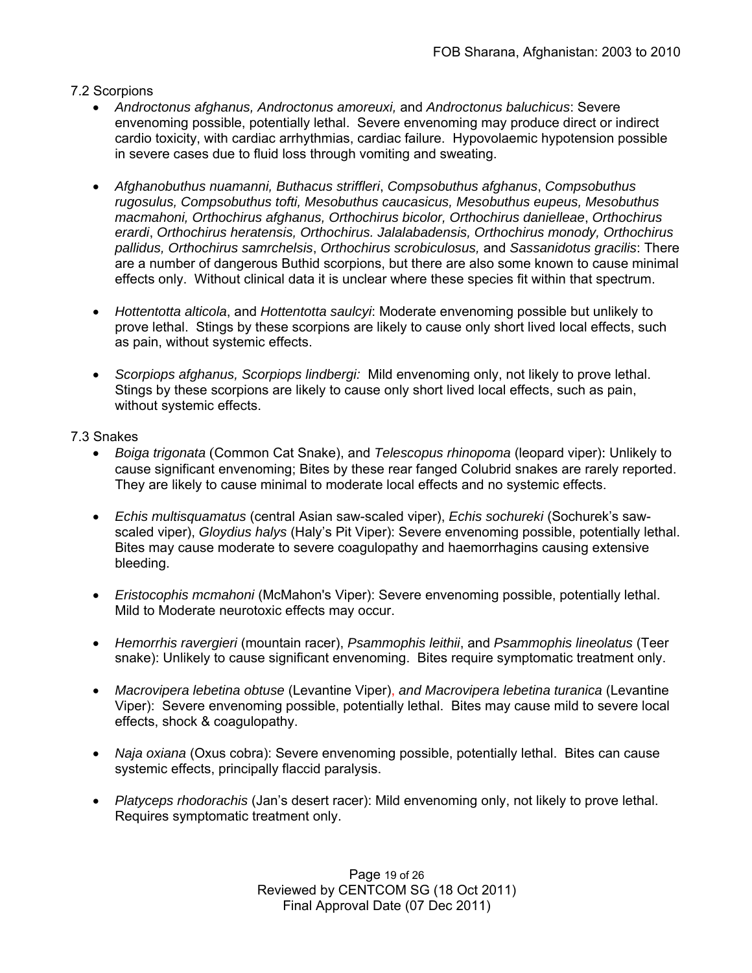## 7.2 Scorpions

- *Androctonus afghanus, Androctonus amoreuxi,* and *Androctonus baluchicus*: Severe envenoming possible, potentially lethal. Severe envenoming may produce direct or indirect cardio toxicity, with cardiac arrhythmias, cardiac failure. Hypovolaemic hypotension possible in severe cases due to fluid loss through vomiting and sweating.
- *Afghanobuthus nuamanni, Buthacus striffleri*, *Compsobuthus afghanus*, *Compsobuthus rugosulus, Compsobuthus tofti, Mesobuthus caucasicus, Mesobuthus eupeus, Mesobuthus macmahoni, Orthochirus afghanus, Orthochirus bicolor, Orthochirus danielleae*, *Orthochirus erardi*, *Orthochirus heratensis, Orthochirus. Jalalabadensis, Orthochirus monody, Orthochirus pallidus, Orthochirus samrchelsis*, *Orthochirus scrobiculosus,* and *Sassanidotus gracilis*: There are a number of dangerous Buthid scorpions, but there are also some known to cause minimal effects only. Without clinical data it is unclear where these species fit within that spectrum.
- *Hottentotta alticola*, and *Hottentotta saulcyi*: Moderate envenoming possible but unlikely to prove lethal. Stings by these scorpions are likely to cause only short lived local effects, such as pain, without systemic effects.
- *Scorpiops afghanus, Scorpiops lindbergi:* Mild envenoming only, not likely to prove lethal. Stings by these scorpions are likely to cause only short lived local effects, such as pain, without systemic effects.

# 7.3 Snakes

- *Boiga trigonata* (Common Cat Snake), and *Telescopus rhinopoma* (leopard viper): Unlikely to cause significant envenoming; Bites by these rear fanged Colubrid snakes are rarely reported. They are likely to cause minimal to moderate local effects and no systemic effects.
- *Echis multisquamatus* (central Asian saw-scaled viper), *Echis sochureki* (Sochurek's sawscaled viper), *Gloydius halys* (Haly's Pit Viper): Severe envenoming possible, potentially lethal. Bites may cause moderate to severe coagulopathy and haemorrhagins causing extensive bleeding.
- *Eristocophis mcmahoni* (McMahon's Viper): Severe envenoming possible, potentially lethal. Mild to Moderate neurotoxic effects may occur.
- *Hemorrhis ravergieri* (mountain racer), *Psammophis leithii*, and *Psammophis lineolatus* (Teer snake): Unlikely to cause significant envenoming. Bites require symptomatic treatment only.
- *Macrovipera lebetina obtuse* (Levantine Viper), *and Macrovipera lebetina turanica* (Levantine Viper): Severe envenoming possible, potentially lethal. Bites may cause mild to severe local effects, shock & coagulopathy.
- *Naja oxiana* (Oxus cobra): Severe envenoming possible, potentially lethal. Bites can cause systemic effects, principally flaccid paralysis.
- *Platyceps rhodorachis* (Jan's desert racer): Mild envenoming only, not likely to prove lethal. Requires symptomatic treatment only.

Page 19 of 26 Reviewed by CENTCOM SG (18 Oct 2011) Final Approval Date (07 Dec 2011)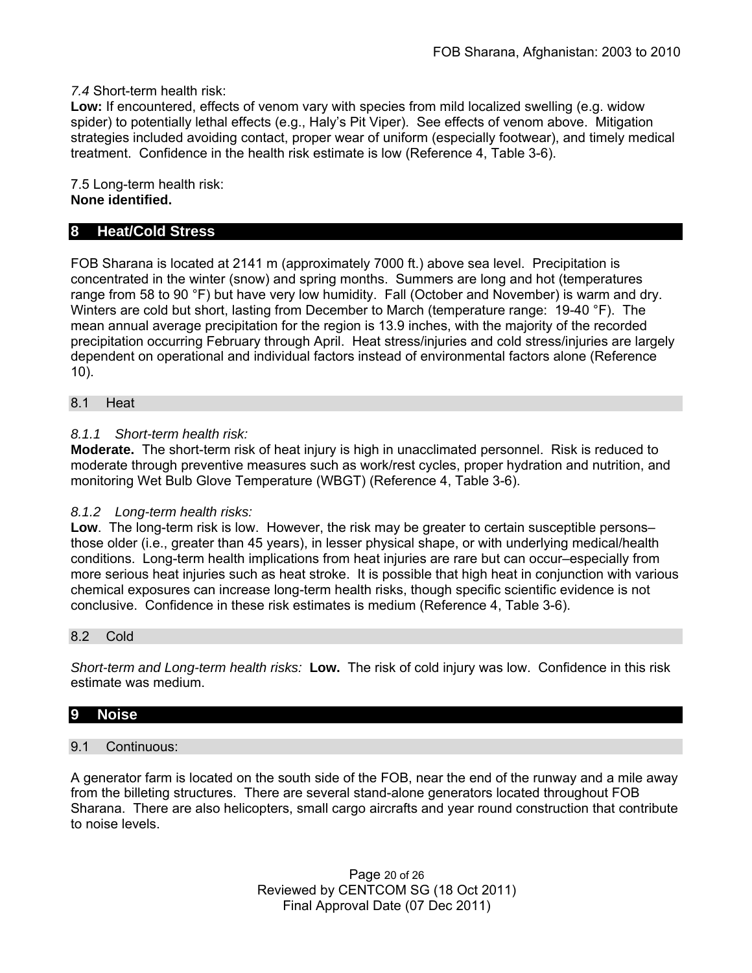*7.4* Short-term health risk:

**Low:** If encountered, effects of venom vary with species from mild localized swelling (e.g. widow spider) to potentially lethal effects (e.g., Haly's Pit Viper). See effects of venom above. Mitigation strategies included avoiding contact, proper wear of uniform (especially footwear), and timely medical treatment. Confidence in the health risk estimate is low (Reference 4, Table 3-6).

7.5 Long-term health risk: **None identified.** 

# **8 Heat/Cold Stress**

FOB Sharana is located at 2141 m (approximately 7000 ft.) above sea level. Precipitation is concentrated in the winter (snow) and spring months. Summers are long and hot (temperatures range from 58 to 90 °F) but have very low humidity. Fall (October and November) is warm and dry. Winters are cold but short, lasting from December to March (temperature range: 19-40 °F). The mean annual average precipitation for the region is 13.9 inches, with the majority of the recorded precipitation occurring February through April. Heat stress/injuries and cold stress/injuries are largely dependent on operational and individual factors instead of environmental factors alone (Reference 10).

#### 8.1 Heat

### *8.1.1 Short-term health risk:*

**Moderate.** The short-term risk of heat injury is high in unacclimated personnel. Risk is reduced to moderate through preventive measures such as work/rest cycles, proper hydration and nutrition, and monitoring Wet Bulb Glove Temperature (WBGT) (Reference 4, Table 3-6).

### *8.1.2 Long-term health risks:*

**Low**. The long-term risk is low. However, the risk may be greater to certain susceptible persons– those older (i.e., greater than 45 years), in lesser physical shape, or with underlying medical/health conditions. Long-term health implications from heat injuries are rare but can occur–especially from more serious heat injuries such as heat stroke.It is possible that high heat in conjunction with various chemical exposures can increase long-term health risks, though specific scientific evidence is not conclusive. Confidence in these risk estimates is medium (Reference 4, Table 3-6).

#### 8.2 Cold

*Short-term and Long-term health risks:* **Low.** The risk of cold injury was low. Confidence in this risk estimate was medium.

### **9 Noise**

#### 9.1 Continuous:

A generator farm is located on the south side of the FOB, near the end of the runway and a mile away from the billeting structures. There are several stand-alone generators located throughout FOB Sharana. There are also helicopters, small cargo aircrafts and year round construction that contribute to noise levels.

> Page 20 of 26 Reviewed by CENTCOM SG (18 Oct 2011) Final Approval Date (07 Dec 2011)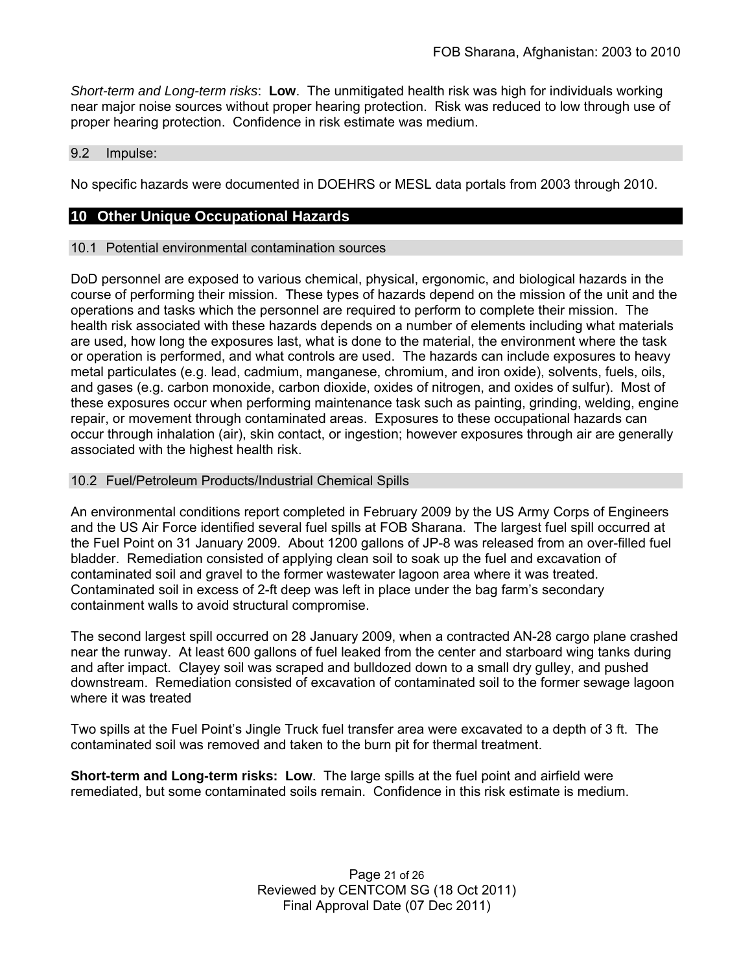*Short-term and Long-term risks*: **Low**. The unmitigated health risk was high for individuals working near major noise sources without proper hearing protection. Risk was reduced to low through use of proper hearing protection. Confidence in risk estimate was medium.

#### 9.2 Impulse:

No specific hazards were documented in DOEHRS or MESL data portals from 2003 through 2010.

# **10 Other Unique Occupational Hazards**

### 10.1 Potential environmental contamination sources

DoD personnel are exposed to various chemical, physical, ergonomic, and biological hazards in the course of performing their mission. These types of hazards depend on the mission of the unit and the operations and tasks which the personnel are required to perform to complete their mission. The health risk associated with these hazards depends on a number of elements including what materials are used, how long the exposures last, what is done to the material, the environment where the task or operation is performed, and what controls are used. The hazards can include exposures to heavy metal particulates (e.g. lead, cadmium, manganese, chromium, and iron oxide), solvents, fuels, oils, and gases (e.g. carbon monoxide, carbon dioxide, oxides of nitrogen, and oxides of sulfur). Most of these exposures occur when performing maintenance task such as painting, grinding, welding, engine repair, or movement through contaminated areas. Exposures to these occupational hazards can occur through inhalation (air), skin contact, or ingestion; however exposures through air are generally associated with the highest health risk.

### 10.2 Fuel/Petroleum Products/Industrial Chemical Spills

An environmental conditions report completed in February 2009 by the US Army Corps of Engineers and the US Air Force identified several fuel spills at FOB Sharana. The largest fuel spill occurred at the Fuel Point on 31 January 2009. About 1200 gallons of JP-8 was released from an over-filled fuel bladder. Remediation consisted of applying clean soil to soak up the fuel and excavation of contaminated soil and gravel to the former wastewater lagoon area where it was treated. Contaminated soil in excess of 2-ft deep was left in place under the bag farm's secondary containment walls to avoid structural compromise.

The second largest spill occurred on 28 January 2009, when a contracted AN-28 cargo plane crashed near the runway. At least 600 gallons of fuel leaked from the center and starboard wing tanks during and after impact. Clayey soil was scraped and bulldozed down to a small dry gulley, and pushed downstream. Remediation consisted of excavation of contaminated soil to the former sewage lagoon where it was treated

Two spills at the Fuel Point's Jingle Truck fuel transfer area were excavated to a depth of 3 ft. The contaminated soil was removed and taken to the burn pit for thermal treatment.

**Short-term and Long-term risks: Low**. The large spills at the fuel point and airfield were remediated, but some contaminated soils remain. Confidence in this risk estimate is medium.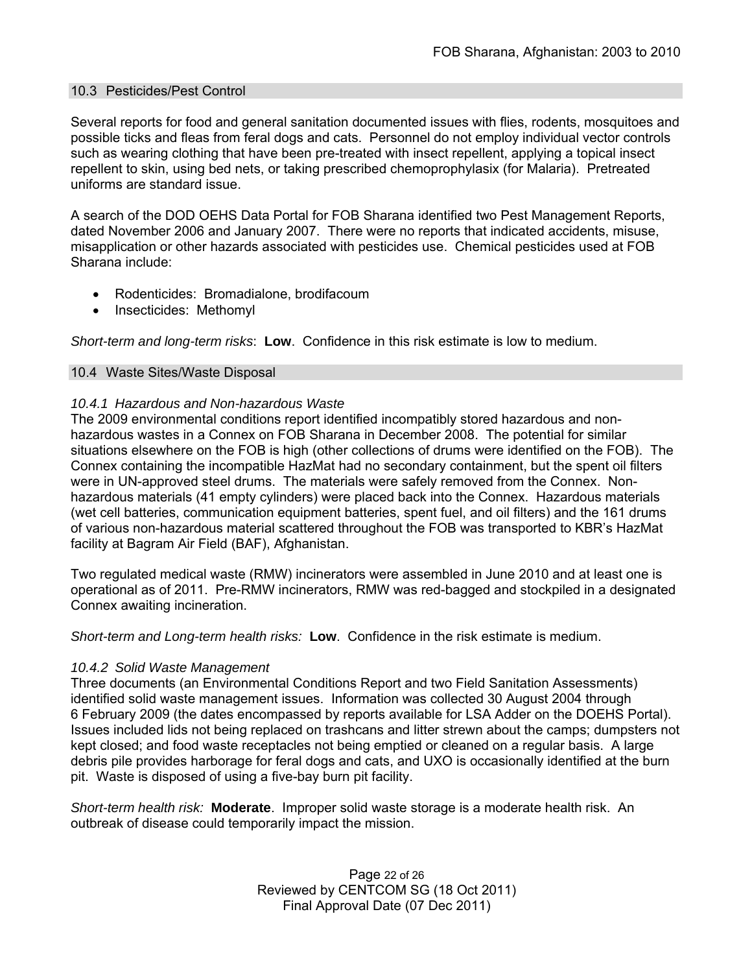### 10.3 Pesticides/Pest Control

Several reports for food and general sanitation documented issues with flies, rodents, mosquitoes and possible ticks and fleas from feral dogs and cats. Personnel do not employ individual vector controls such as wearing clothing that have been pre-treated with insect repellent, applying a topical insect repellent to skin, using bed nets, or taking prescribed chemoprophylasix (for Malaria). Pretreated uniforms are standard issue.

A search of the DOD OEHS Data Portal for FOB Sharana identified two Pest Management Reports, dated November 2006 and January 2007. There were no reports that indicated accidents, misuse, misapplication or other hazards associated with pesticides use. Chemical pesticides used at FOB Sharana include:

- Rodenticides: Bromadialone, brodifacoum
- Insecticides: Methomyl

*Short-term and long-term risks*: **Low**. Confidence in this risk estimate is low to medium.

### 10.4 Waste Sites/Waste Disposal

### *10.4.1 Hazardous and Non-hazardous Waste*

The 2009 environmental conditions report identified incompatibly stored hazardous and nonhazardous wastes in a Connex on FOB Sharana in December 2008. The potential for similar situations elsewhere on the FOB is high (other collections of drums were identified on the FOB). The Connex containing the incompatible HazMat had no secondary containment, but the spent oil filters were in UN-approved steel drums. The materials were safely removed from the Connex. Nonhazardous materials (41 empty cylinders) were placed back into the Connex. Hazardous materials (wet cell batteries, communication equipment batteries, spent fuel, and oil filters) and the 161 drums of various non-hazardous material scattered throughout the FOB was transported to KBR's HazMat facility at Bagram Air Field (BAF), Afghanistan.

Two regulated medical waste (RMW) incinerators were assembled in June 2010 and at least one is operational as of 2011. Pre-RMW incinerators, RMW was red-bagged and stockpiled in a designated Connex awaiting incineration.

*Short-term and Long-term health risks:* **Low**. Confidence in the risk estimate is medium.

### *10.4.2 Solid Waste Management*

Three documents (an Environmental Conditions Report and two Field Sanitation Assessments) identified solid waste management issues. Information was collected 30 August 2004 through 6 February 2009 (the dates encompassed by reports available for LSA Adder on the DOEHS Portal). Issues included lids not being replaced on trashcans and litter strewn about the camps; dumpsters not kept closed; and food waste receptacles not being emptied or cleaned on a regular basis. A large debris pile provides harborage for feral dogs and cats, and UXO is occasionally identified at the burn pit. Waste is disposed of using a five-bay burn pit facility.

*Short-term health risk:* **Moderate**. Improper solid waste storage is a moderate health risk. An outbreak of disease could temporarily impact the mission.

> Page 22 of 26 Reviewed by CENTCOM SG (18 Oct 2011) Final Approval Date (07 Dec 2011)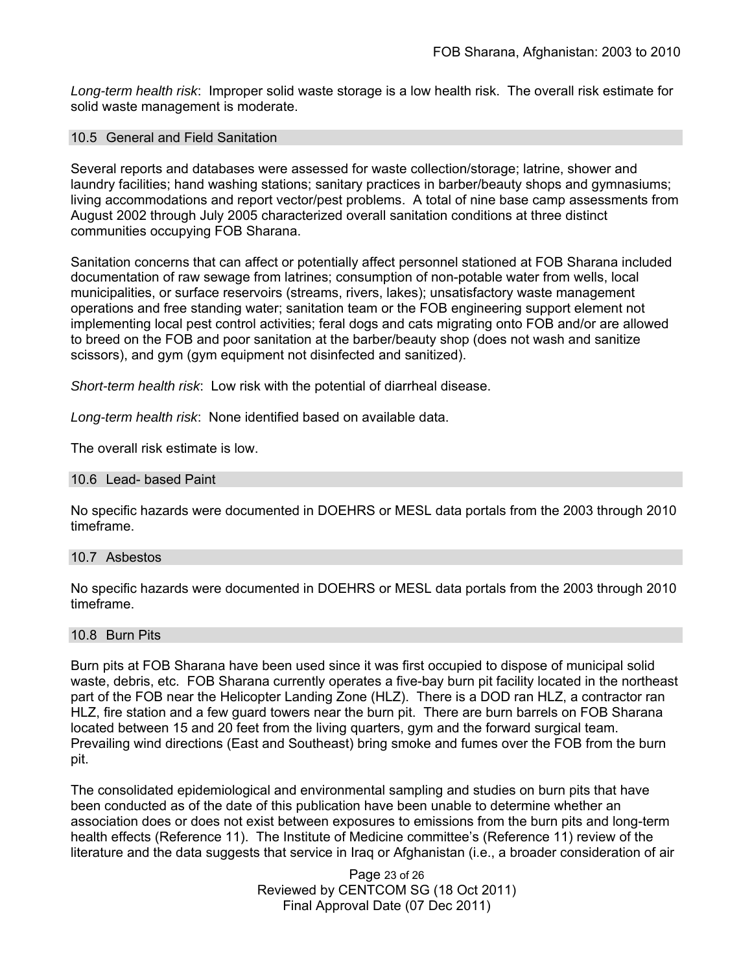*Long-term health risk*: Improper solid waste storage is a low health risk. The overall risk estimate for solid waste management is moderate.

#### 10.5 General and Field Sanitation

Several reports and databases were assessed for waste collection/storage; latrine, shower and laundry facilities; hand washing stations; sanitary practices in barber/beauty shops and gymnasiums; living accommodations and report vector/pest problems. A total of nine base camp assessments from August 2002 through July 2005 characterized overall sanitation conditions at three distinct communities occupying FOB Sharana.

Sanitation concerns that can affect or potentially affect personnel stationed at FOB Sharana included documentation of raw sewage from latrines; consumption of non-potable water from wells, local municipalities, or surface reservoirs (streams, rivers, lakes); unsatisfactory waste management operations and free standing water; sanitation team or the FOB engineering support element not implementing local pest control activities; feral dogs and cats migrating onto FOB and/or are allowed to breed on the FOB and poor sanitation at the barber/beauty shop (does not wash and sanitize scissors), and gym (gym equipment not disinfected and sanitized).

*Short-term health risk*: Low risk with the potential of diarrheal disease.

*Long-term health risk*: None identified based on available data.

The overall risk estimate is low.

#### 10.6 Lead- based Paint

No specific hazards were documented in DOEHRS or MESL data portals from the 2003 through 2010 timeframe.

#### 10.7 Asbestos

No specific hazards were documented in DOEHRS or MESL data portals from the 2003 through 2010 timeframe.

#### 10.8 Burn Pits

Burn pits at FOB Sharana have been used since it was first occupied to dispose of municipal solid waste, debris, etc. FOB Sharana currently operates a five-bay burn pit facility located in the northeast part of the FOB near the Helicopter Landing Zone (HLZ). There is a DOD ran HLZ, a contractor ran HLZ, fire station and a few guard towers near the burn pit. There are burn barrels on FOB Sharana located between 15 and 20 feet from the living quarters, gym and the forward surgical team. Prevailing wind directions (East and Southeast) bring smoke and fumes over the FOB from the burn pit.

The consolidated epidemiological and environmental sampling and studies on burn pits that have been conducted as of the date of this publication have been unable to determine whether an association does or does not exist between exposures to emissions from the burn pits and long-term health effects (Reference 11). The Institute of Medicine committee's (Reference 11) review of the literature and the data suggests that service in Iraq or Afghanistan (i.e., a broader consideration of air

> Page 23 of 26 Reviewed by CENTCOM SG (18 Oct 2011) Final Approval Date (07 Dec 2011)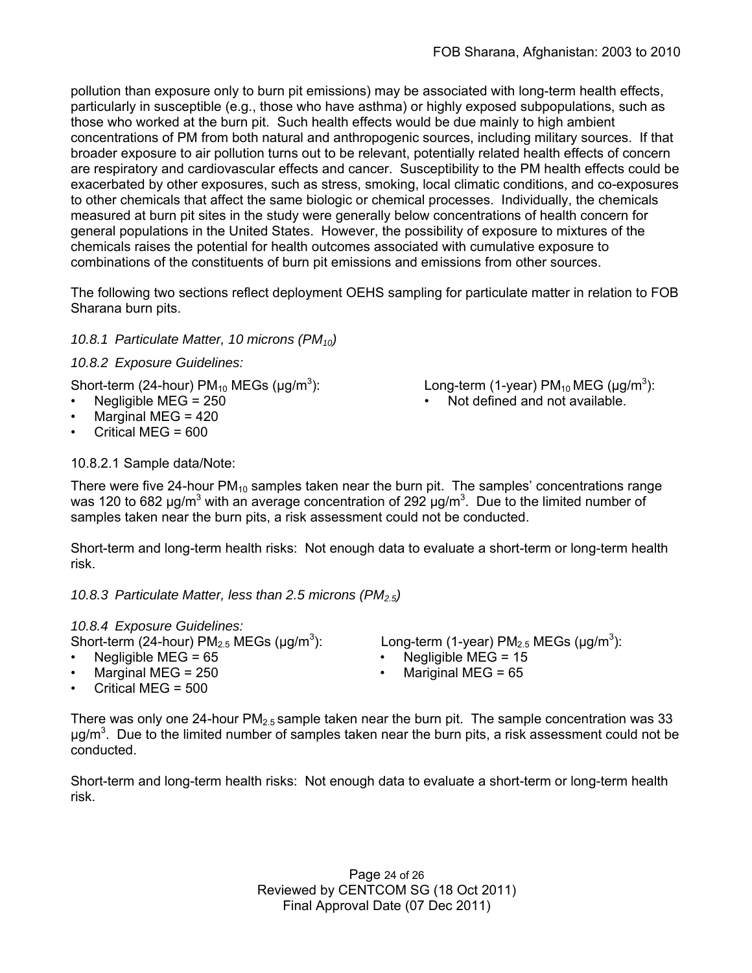pollution than exposure only to burn pit emissions) may be associated with long-term health effects, particularly in susceptible (e.g., those who have asthma) or highly exposed subpopulations, such as those who worked at the burn pit. Such health effects would be due mainly to high ambient concentrations of PM from both natural and anthropogenic sources, including military sources. If that broader exposure to air pollution turns out to be relevant, potentially related health effects of concern are respiratory and cardiovascular effects and cancer. Susceptibility to the PM health effects could be exacerbated by other exposures, such as stress, smoking, local climatic conditions, and co-exposures to other chemicals that affect the same biologic or chemical processes. Individually, the chemicals measured at burn pit sites in the study were generally below concentrations of health concern for general populations in the United States. However, the possibility of exposure to mixtures of the chemicals raises the potential for health outcomes associated with cumulative exposure to combinations of the constituents of burn pit emissions and emissions from other sources.

The following two sections reflect deployment OEHS sampling for particulate matter in relation to FOB Sharana burn pits.

*10.8.1 Particulate Matter, 10 microns (PM10)* 

## *10.8.2 Exposure Guidelines:*

Short-term (24-hour) PM<sub>10</sub> MEGs ( $\mu$ g/m<sup>3</sup>):<br>• Negligible MEG = 250 ): Long-term (1-year)  $PM_{10}$  MEG ( $\mu$ g/m<sup>3</sup>):

- 
- Marginal MEG = 420
- Critical MEG = 600

## 10.8.2.1 Sample data/Note:

There were five 24-hour  $PM_{10}$  samples taken near the burn pit. The samples' concentrations range was 120 to 682 μg/m<sup>3</sup> with an average concentration of 292 μg/m<sup>3</sup>. Due to the limited number of samples taken near the burn pits, a risk assessment could not be conducted.

Short-term and long-term health risks: Not enough data to evaluate a short-term or long-term health risk.

*10.8.3 Particulate Matter, less than 2.5 microns (PM2.5)* 

### *10.8.4 Exposure Guidelines:*

Short-term (24-hour)  $PM_{2.5}$  MEGs ( $\mu$ g/m<sup>3</sup>):

- Negligible MEG = 65 Negligible MEG = 15
- Marginal MEG = 250 Mariginal MEG = 65
- ): Long-term (1-year)  $PM<sub>2.5</sub> MEGs (µg/m<sup>3</sup>)$ :

 $\cdot$  Not defined and not available.

- 
- 

• Critical MEG = 500

There was only one 24-hour  $PM_{2.5}$  sample taken near the burn pit. The sample concentration was 33  $\mu$ g/m<sup>3</sup>. Due to the limited number of samples taken near the burn pits, a risk assessment could not be conducted.

Short-term and long-term health risks: Not enough data to evaluate a short-term or long-term health risk.

> Page 24 of 26 Reviewed by CENTCOM SG (18 Oct 2011) Final Approval Date (07 Dec 2011)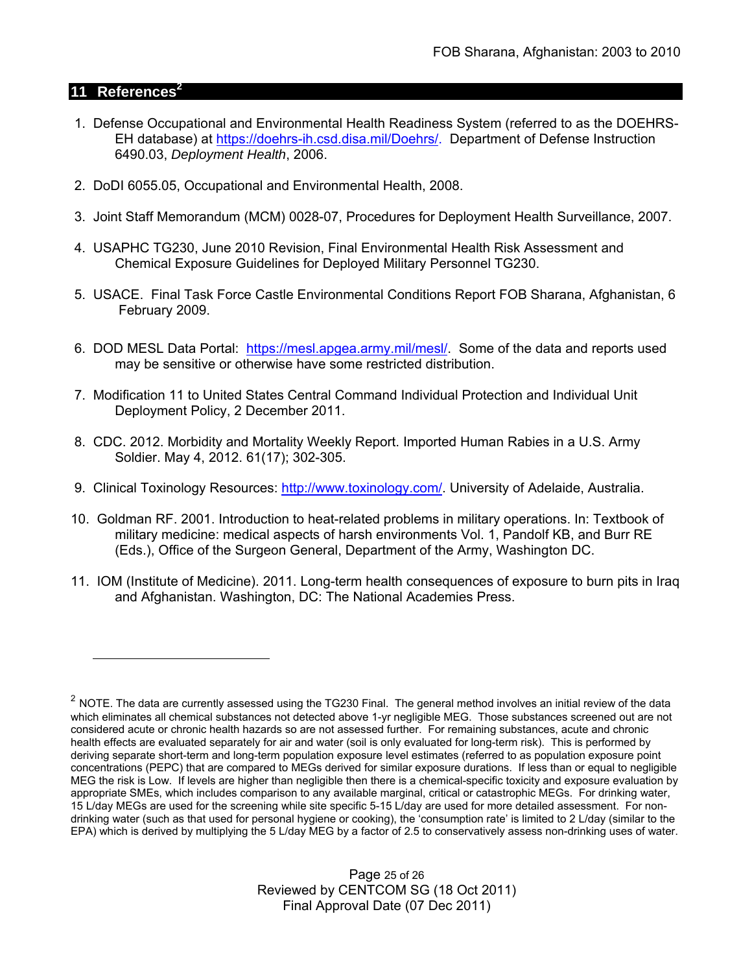### **11 References2**

 $\overline{a}$ 

- 1. Defense Occupational and Environmental Health Readiness System (referred to as the DOEHRS- EH database) at https://doehrs-ih.csd.disa.mil/Doehrs/. Department of Defense Instruction 6490.03, *Deployment Health*, 2006.
- 2. DoDI 6055.05, Occupational and Environmental Health, 2008.
- 3. Joint Staff Memorandum (MCM) 0028-07, Procedures for Deployment Health Surveillance, 2007.
- 4. USAPHC TG230, June 2010 Revision, Final Environmental Health Risk Assessment and Chemical Exposure Guidelines for Deployed Military Personnel TG230.
- 5. USACE. Final Task Force Castle Environmental Conditions Report FOB Sharana, Afghanistan, 6 February 2009.
- 6. DOD MESL Data Portal: https://mesl.apgea.army.mil/mesl/. Some of the data and reports used may be sensitive or otherwise have some restricted distribution.
- 7. Modification 11 to United States Central Command Individual Protection and Individual Unit Deployment Policy, 2 December 2011.
- 8. CDC. 2012. Morbidity and Mortality Weekly Report. Imported Human Rabies in a U.S. Army Soldier. May 4, 2012. 61(17); 302-305.
- 9. Clinical Toxinology Resources: http://www.toxinology.com/. University of Adelaide, Australia.
- 10. Goldman RF. 2001. Introduction to heat-related problems in military operations. In: Textbook of military medicine: medical aspects of harsh environments Vol. 1, Pandolf KB, and Burr RE (Eds.), Office of the Surgeon General, Department of the Army, Washington DC.
- 11. IOM (Institute of Medicine). 2011. Long-term health consequences of exposure to burn pits in Iraq and Afghanistan. Washington, DC: The National Academies Press.

Page 25 of 26 Reviewed by CENTCOM SG (18 Oct 2011) Final Approval Date (07 Dec 2011)

 $2$  NOTE. The data are currently assessed using the TG230 Final. The general method involves an initial review of the data which eliminates all chemical substances not detected above 1-yr negligible MEG. Those substances screened out are not considered acute or chronic health hazards so are not assessed further. For remaining substances, acute and chronic health effects are evaluated separately for air and water (soil is only evaluated for long-term risk). This is performed by deriving separate short-term and long-term population exposure level estimates (referred to as population exposure point concentrations (PEPC) that are compared to MEGs derived for similar exposure durations. If less than or equal to negligible MEG the risk is Low. If levels are higher than negligible then there is a chemical-specific toxicity and exposure evaluation by appropriate SMEs, which includes comparison to any available marginal, critical or catastrophic MEGs. For drinking water, 15 L/day MEGs are used for the screening while site specific 5-15 L/day are used for more detailed assessment. For nondrinking water (such as that used for personal hygiene or cooking), the 'consumption rate' is limited to 2 L/day (similar to the EPA) which is derived by multiplying the 5 L/day MEG by a factor of 2.5 to conservatively assess non-drinking uses of water.